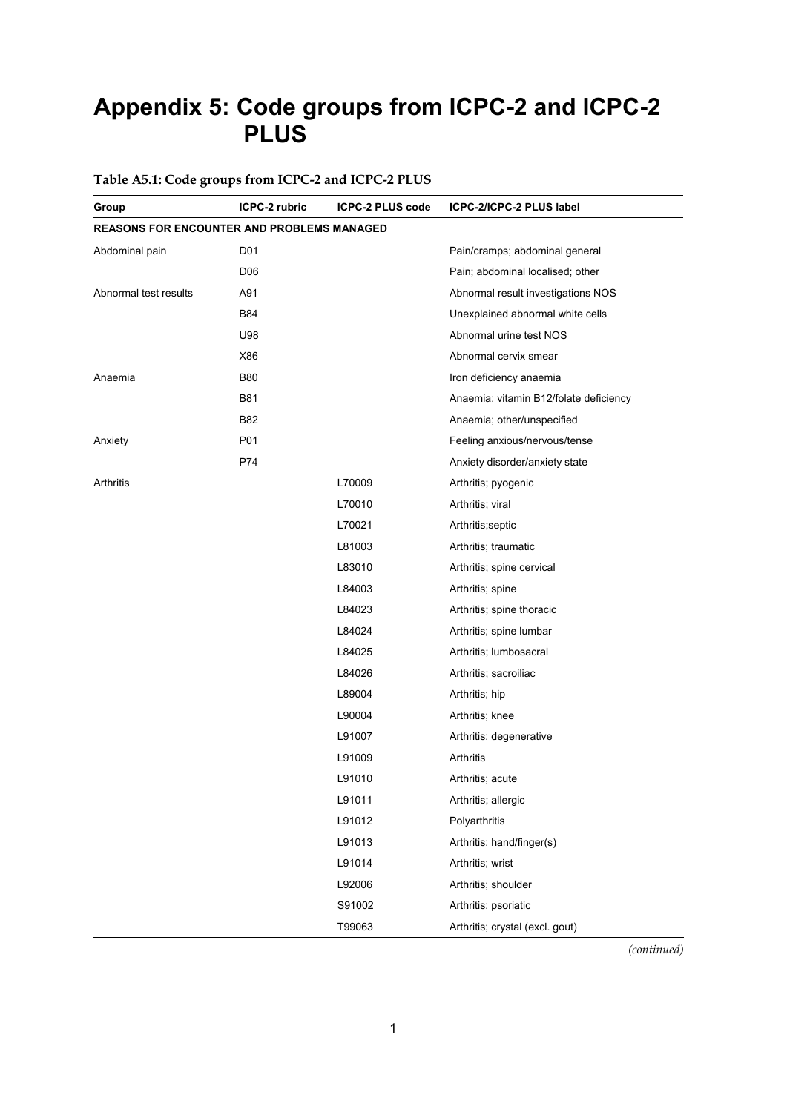# **Appendix 5: Code groups from ICPC-2 and ICPC-2 PLUS**

#### **Table A5.1: Code groups from ICPC-2 and ICPC-2 PLUS**

| Group                                             | ICPC-2 rubric   | <b>ICPC-2 PLUS code</b> | ICPC-2/ICPC-2 PLUS label               |
|---------------------------------------------------|-----------------|-------------------------|----------------------------------------|
| <b>REASONS FOR ENCOUNTER AND PROBLEMS MANAGED</b> |                 |                         |                                        |
| Abdominal pain                                    | D01             |                         | Pain/cramps; abdominal general         |
|                                                   | D <sub>06</sub> |                         | Pain; abdominal localised; other       |
| Abnormal test results                             | A91             |                         | Abnormal result investigations NOS     |
|                                                   | B84             |                         | Unexplained abnormal white cells       |
|                                                   | U98             |                         | Abnormal urine test NOS                |
|                                                   | X86             |                         | Abnormal cervix smear                  |
| Anaemia                                           | <b>B80</b>      |                         | Iron deficiency anaemia                |
|                                                   | <b>B81</b>      |                         | Anaemia; vitamin B12/folate deficiency |
|                                                   | B82             |                         | Anaemia; other/unspecified             |
| Anxiety                                           | P01             |                         | Feeling anxious/nervous/tense          |
|                                                   | P74             |                         | Anxiety disorder/anxiety state         |
| Arthritis                                         |                 | L70009                  | Arthritis; pyogenic                    |
|                                                   |                 | L70010                  | Arthritis; viral                       |
|                                                   |                 | L70021                  | Arthritis; septic                      |
|                                                   |                 | L81003                  | Arthritis; traumatic                   |
|                                                   |                 | L83010                  | Arthritis; spine cervical              |
|                                                   |                 | L84003                  | Arthritis; spine                       |
|                                                   |                 | L84023                  | Arthritis; spine thoracic              |
|                                                   |                 | L84024                  | Arthritis; spine lumbar                |
|                                                   |                 | L84025                  | Arthritis; lumbosacral                 |
|                                                   |                 | L84026                  | Arthritis; sacroiliac                  |
|                                                   |                 | L89004                  | Arthritis; hip                         |
|                                                   |                 | L90004                  | Arthritis; knee                        |
|                                                   |                 | L91007                  | Arthritis; degenerative                |
|                                                   |                 | L91009                  | Arthritis                              |
|                                                   |                 | L91010                  | Arthritis; acute                       |
|                                                   |                 | L91011                  | Arthritis; allergic                    |
|                                                   |                 | L91012                  | Polyarthritis                          |
|                                                   |                 | L91013                  | Arthritis; hand/finger(s)              |
|                                                   |                 | L91014                  | Arthritis; wrist                       |
|                                                   |                 | L92006                  | Arthritis; shoulder                    |
|                                                   |                 | S91002                  | Arthritis; psoriatic                   |
|                                                   |                 | T99063                  | Arthritis; crystal (excl. gout)        |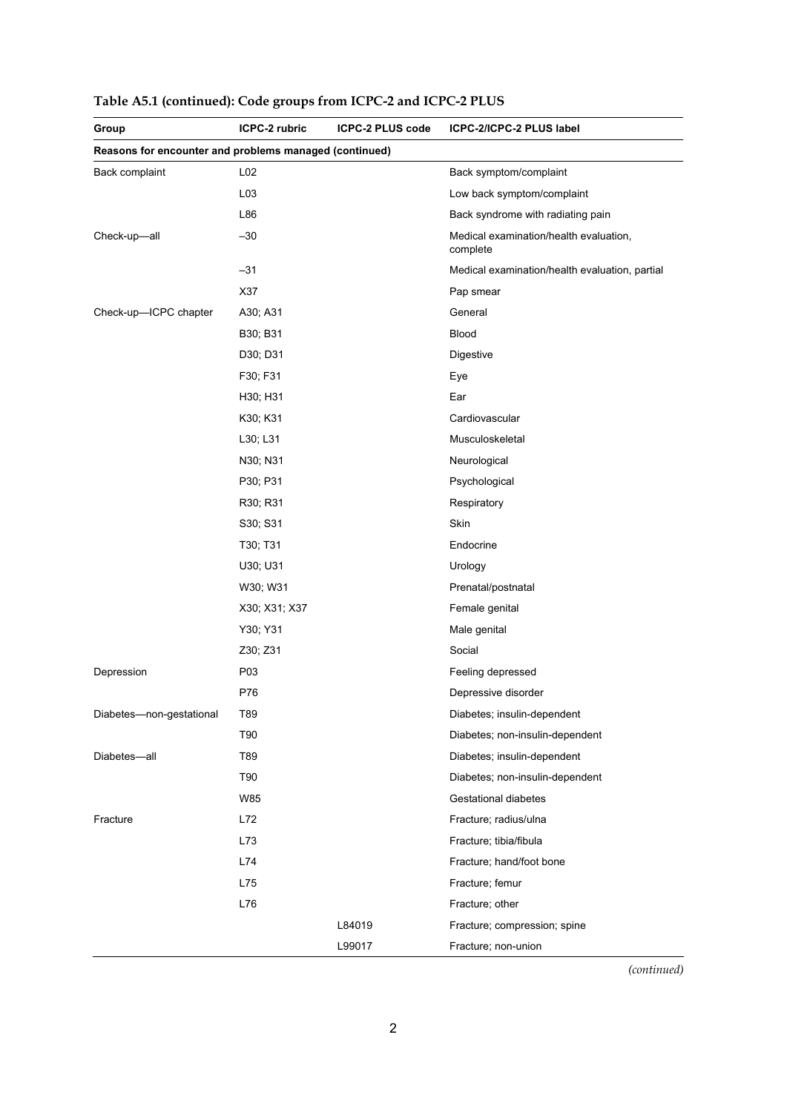| Group                                                  | ICPC-2 rubric   | <b>ICPC-2 PLUS code</b> | ICPC-2/ICPC-2 PLUS label                           |
|--------------------------------------------------------|-----------------|-------------------------|----------------------------------------------------|
| Reasons for encounter and problems managed (continued) |                 |                         |                                                    |
| Back complaint                                         | L <sub>02</sub> |                         | Back symptom/complaint                             |
|                                                        | L03             |                         | Low back symptom/complaint                         |
|                                                        | L86             |                         | Back syndrome with radiating pain                  |
| Check-up-all                                           | $-30$           |                         | Medical examination/health evaluation,<br>complete |
|                                                        | -31             |                         | Medical examination/health evaluation, partial     |
|                                                        | X37             |                         | Pap smear                                          |
| Check-up-ICPC chapter                                  | A30; A31        |                         | General                                            |
|                                                        | B30; B31        |                         | <b>Blood</b>                                       |
|                                                        | D30; D31        |                         | Digestive                                          |
|                                                        | F30; F31        |                         | Eye                                                |
|                                                        | H30; H31        |                         | Ear                                                |
|                                                        | K30; K31        |                         | Cardiovascular                                     |
|                                                        | L30; L31        |                         | Musculoskeletal                                    |
|                                                        | N30; N31        |                         | Neurological                                       |
|                                                        | P30; P31        |                         | Psychological                                      |
|                                                        | R30; R31        |                         | Respiratory                                        |
|                                                        | S30; S31        |                         | Skin                                               |
|                                                        | T30; T31        |                         | Endocrine                                          |
|                                                        | U30; U31        |                         | Urology                                            |
|                                                        | W30; W31        |                         | Prenatal/postnatal                                 |
|                                                        | X30; X31; X37   |                         | Female genital                                     |
|                                                        | Y30; Y31        |                         | Male genital                                       |
|                                                        | Z30; Z31        |                         | Social                                             |
| Depression                                             | P03             |                         | Feeling depressed                                  |
|                                                        | P76             |                         | Depressive disorder                                |
| Diabetes-non-gestational                               | T89             |                         | Diabetes; insulin-dependent                        |
|                                                        | T90             |                         | Diabetes; non-insulin-dependent                    |
| Diabetes-all                                           | T89             |                         | Diabetes; insulin-dependent                        |
|                                                        | T90             |                         | Diabetes; non-insulin-dependent                    |
|                                                        | W85             |                         | Gestational diabetes                               |
| Fracture                                               | L72             |                         | Fracture; radius/ulna                              |
|                                                        | L73             |                         | Fracture; tibia/fibula                             |
|                                                        | L74             |                         | Fracture; hand/foot bone                           |
|                                                        | L75             |                         | Fracture; femur                                    |
|                                                        | L76             |                         | Fracture; other                                    |
|                                                        |                 | L84019                  | Fracture; compression; spine                       |
|                                                        |                 | L99017                  | Fracture; non-union                                |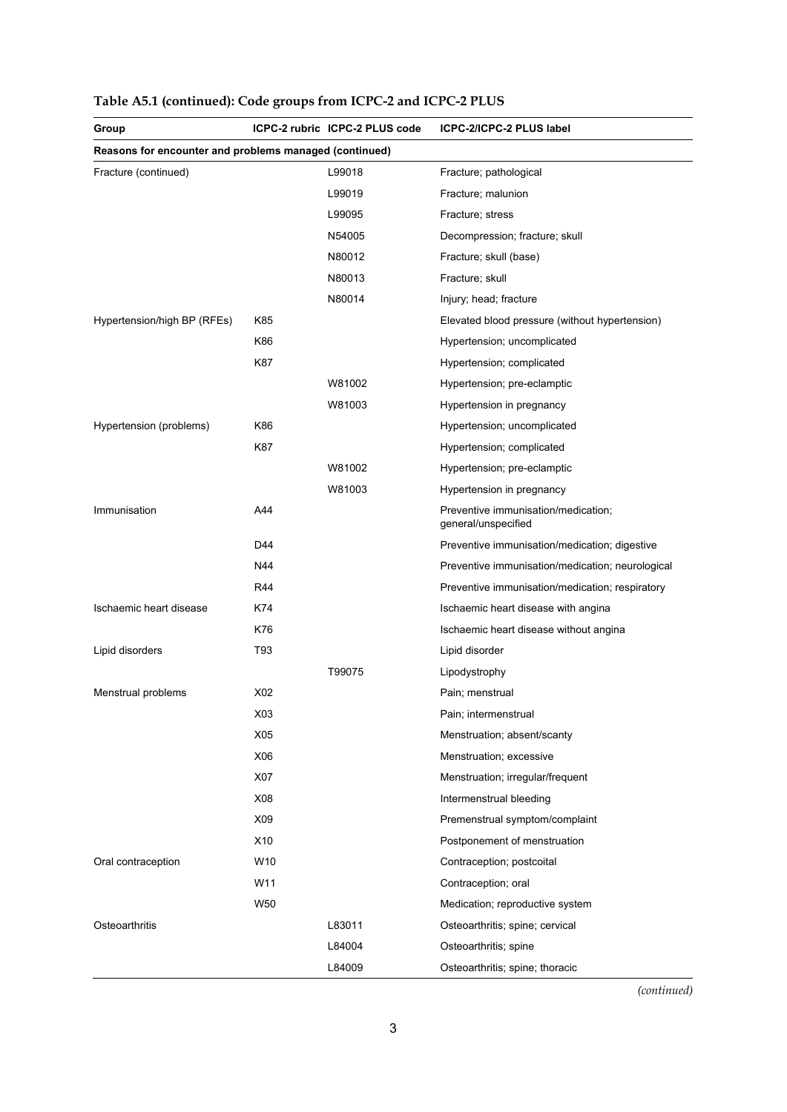| Group                       |                                                        | ICPC-2 rubric ICPC-2 PLUS code | ICPC-2/ICPC-2 PLUS label                                   |  |  |
|-----------------------------|--------------------------------------------------------|--------------------------------|------------------------------------------------------------|--|--|
|                             | Reasons for encounter and problems managed (continued) |                                |                                                            |  |  |
| Fracture (continued)        |                                                        | L99018                         | Fracture; pathological                                     |  |  |
|                             |                                                        | L99019                         | Fracture; malunion                                         |  |  |
|                             |                                                        | L99095                         | Fracture; stress                                           |  |  |
|                             |                                                        | N54005                         | Decompression; fracture; skull                             |  |  |
|                             |                                                        | N80012                         | Fracture; skull (base)                                     |  |  |
|                             |                                                        | N80013                         | Fracture; skull                                            |  |  |
|                             |                                                        | N80014                         | Injury; head; fracture                                     |  |  |
| Hypertension/high BP (RFEs) | K85                                                    |                                | Elevated blood pressure (without hypertension)             |  |  |
|                             | K86                                                    |                                | Hypertension; uncomplicated                                |  |  |
|                             | K87                                                    |                                | Hypertension; complicated                                  |  |  |
|                             |                                                        | W81002                         | Hypertension; pre-eclamptic                                |  |  |
|                             |                                                        | W81003                         | Hypertension in pregnancy                                  |  |  |
| Hypertension (problems)     | K86                                                    |                                | Hypertension; uncomplicated                                |  |  |
|                             | K87                                                    |                                | Hypertension; complicated                                  |  |  |
|                             |                                                        | W81002                         | Hypertension; pre-eclamptic                                |  |  |
|                             |                                                        | W81003                         | Hypertension in pregnancy                                  |  |  |
| Immunisation                | A44                                                    |                                | Preventive immunisation/medication;<br>general/unspecified |  |  |
|                             | D44                                                    |                                | Preventive immunisation/medication; digestive              |  |  |
|                             | N44                                                    |                                | Preventive immunisation/medication; neurological           |  |  |
|                             | R44                                                    |                                | Preventive immunisation/medication; respiratory            |  |  |
| Ischaemic heart disease     | K74                                                    |                                | Ischaemic heart disease with angina                        |  |  |
|                             | K76                                                    |                                | Ischaemic heart disease without angina                     |  |  |
| Lipid disorders             | T93                                                    |                                | Lipid disorder                                             |  |  |
|                             |                                                        | T99075                         | Lipodystrophy                                              |  |  |
| Menstrual problems          | X02                                                    |                                | Pain; menstrual                                            |  |  |
|                             | X03                                                    |                                | Pain; intermenstrual                                       |  |  |
|                             | X05                                                    |                                | Menstruation; absent/scanty                                |  |  |
|                             | X06                                                    |                                | Menstruation; excessive                                    |  |  |
|                             | X07                                                    |                                | Menstruation; irregular/frequent                           |  |  |
|                             | X08                                                    |                                | Intermenstrual bleeding                                    |  |  |
|                             | X09                                                    |                                | Premenstrual symptom/complaint                             |  |  |
|                             | X10                                                    |                                | Postponement of menstruation                               |  |  |
| Oral contraception          | W10                                                    |                                | Contraception; postcoital                                  |  |  |
|                             | W11                                                    |                                | Contraception; oral                                        |  |  |
|                             | W50                                                    |                                | Medication; reproductive system                            |  |  |
| Osteoarthritis              |                                                        | L83011                         | Osteoarthritis; spine; cervical                            |  |  |
|                             |                                                        | L84004                         | Osteoarthritis; spine                                      |  |  |
|                             |                                                        | L84009                         | Osteoarthritis; spine; thoracic                            |  |  |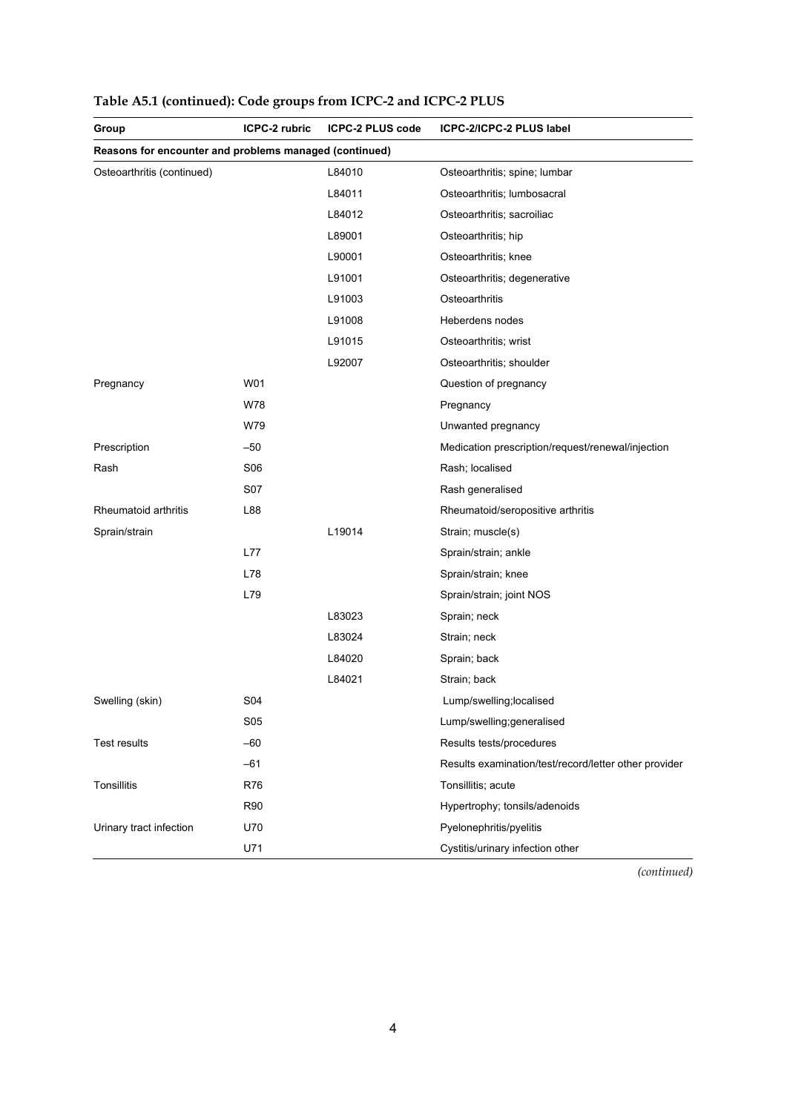| Group                                                  | ICPC-2 rubric   | <b>ICPC-2 PLUS code</b> | ICPC-2/ICPC-2 PLUS label                              |
|--------------------------------------------------------|-----------------|-------------------------|-------------------------------------------------------|
| Reasons for encounter and problems managed (continued) |                 |                         |                                                       |
| Osteoarthritis (continued)                             |                 | L84010                  | Osteoarthritis; spine; lumbar                         |
|                                                        |                 | L84011                  | Osteoarthritis; lumbosacral                           |
|                                                        |                 | L84012                  | Osteoarthritis; sacroiliac                            |
|                                                        |                 | L89001                  | Osteoarthritis; hip                                   |
|                                                        |                 | L90001                  | Osteoarthritis; knee                                  |
|                                                        |                 | L91001                  | Osteoarthritis; degenerative                          |
|                                                        |                 | L91003                  | Osteoarthritis                                        |
|                                                        |                 | L91008                  | Heberdens nodes                                       |
|                                                        |                 | L91015                  | Osteoarthritis; wrist                                 |
|                                                        |                 | L92007                  | Osteoarthritis; shoulder                              |
| Pregnancy                                              | W01             |                         | Question of pregnancy                                 |
|                                                        | W78             |                         | Pregnancy                                             |
|                                                        | W79             |                         | Unwanted pregnancy                                    |
| Prescription                                           | $-50$           |                         | Medication prescription/request/renewal/injection     |
| Rash                                                   | S <sub>06</sub> |                         | Rash; localised                                       |
|                                                        | S07             |                         | Rash generalised                                      |
| Rheumatoid arthritis                                   | L88             |                         | Rheumatoid/seropositive arthritis                     |
| Sprain/strain                                          |                 | L19014                  | Strain; muscle(s)                                     |
|                                                        | L77             |                         | Sprain/strain; ankle                                  |
|                                                        | L78             |                         | Sprain/strain; knee                                   |
|                                                        | L79             |                         | Sprain/strain; joint NOS                              |
|                                                        |                 | L83023                  | Sprain; neck                                          |
|                                                        |                 | L83024                  | Strain; neck                                          |
|                                                        |                 | L84020                  | Sprain; back                                          |
|                                                        |                 | L84021                  | Strain; back                                          |
| Swelling (skin)                                        | <b>S04</b>      |                         | Lump/swelling;localised                               |
|                                                        | <b>S05</b>      |                         | Lump/swelling;generalised                             |
| Test results                                           | $-60$           |                         | Results tests/procedures                              |
|                                                        | $-61$           |                         | Results examination/test/record/letter other provider |
| <b>Tonsillitis</b>                                     | R76             |                         | Tonsillitis; acute                                    |
|                                                        | <b>R90</b>      |                         | Hypertrophy; tonsils/adenoids                         |
| Urinary tract infection                                | U70             |                         | Pyelonephritis/pyelitis                               |
|                                                        | U71             |                         | Cystitis/urinary infection other                      |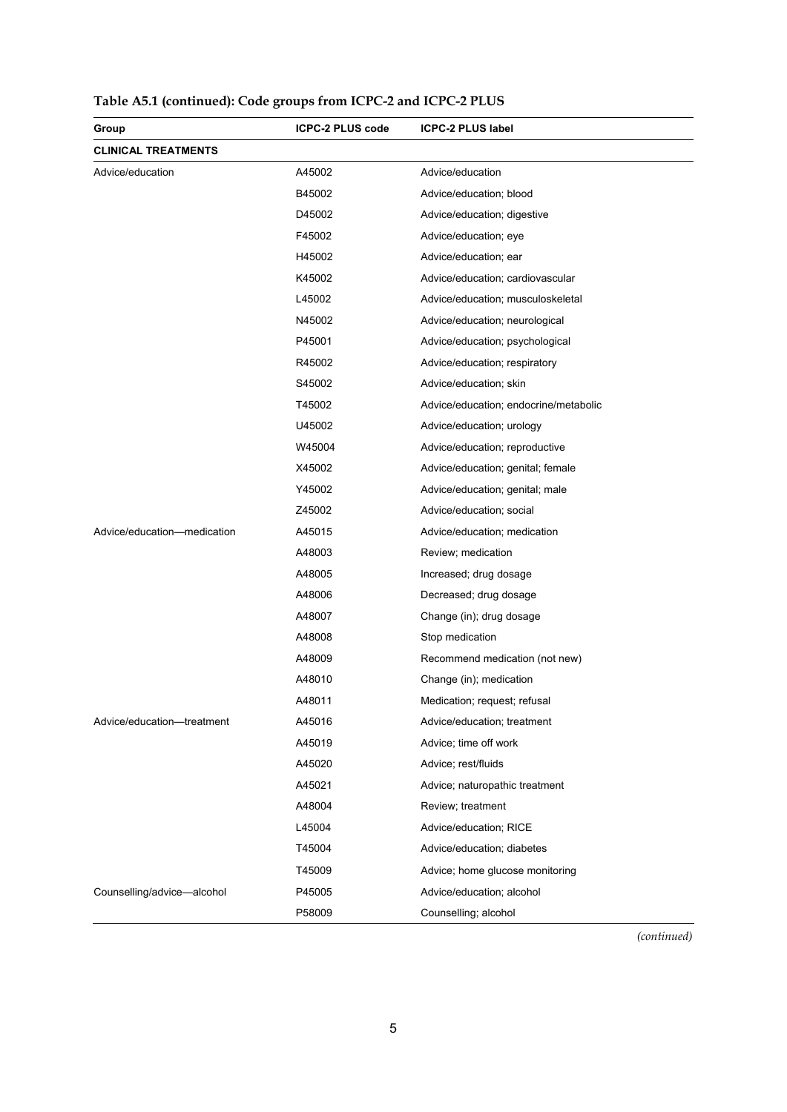| Group                       | <b>ICPC-2 PLUS code</b> | <b>ICPC-2 PLUS label</b>              |
|-----------------------------|-------------------------|---------------------------------------|
| <b>CLINICAL TREATMENTS</b>  |                         |                                       |
| Advice/education            | A45002                  | Advice/education                      |
|                             | B45002                  | Advice/education; blood               |
|                             | D45002                  | Advice/education; digestive           |
|                             | F45002                  | Advice/education; eye                 |
|                             | H45002                  | Advice/education; ear                 |
|                             | K45002                  | Advice/education; cardiovascular      |
|                             | L45002                  | Advice/education; musculoskeletal     |
|                             | N45002                  | Advice/education; neurological        |
|                             | P45001                  | Advice/education; psychological       |
|                             | R45002                  | Advice/education; respiratory         |
|                             | S45002                  | Advice/education; skin                |
|                             | T45002                  | Advice/education; endocrine/metabolic |
|                             | U45002                  | Advice/education; urology             |
|                             | W45004                  | Advice/education; reproductive        |
|                             | X45002                  | Advice/education; genital; female     |
|                             | Y45002                  | Advice/education; genital; male       |
|                             | Z45002                  | Advice/education; social              |
| Advice/education-medication | A45015                  | Advice/education; medication          |
|                             | A48003                  | Review; medication                    |
|                             | A48005                  | Increased; drug dosage                |
|                             | A48006                  | Decreased; drug dosage                |
|                             | A48007                  | Change (in); drug dosage              |
|                             | A48008                  | Stop medication                       |
|                             | A48009                  | Recommend medication (not new)        |
|                             | A48010                  | Change (in); medication               |
|                             | A48011                  | Medication; request; refusal          |
| Advice/education-treatment  | A45016                  | Advice/education; treatment           |
|                             | A45019                  | Advice; time off work                 |
|                             | A45020                  | Advice; rest/fluids                   |
|                             | A45021                  | Advice; naturopathic treatment        |
|                             | A48004                  | Review; treatment                     |
|                             | L45004                  | Advice/education; RICE                |
|                             | T45004                  | Advice/education; diabetes            |
|                             | T45009                  | Advice; home glucose monitoring       |
| Counselling/advice-alcohol  | P45005                  | Advice/education; alcohol             |
|                             | P58009                  | Counselling; alcohol                  |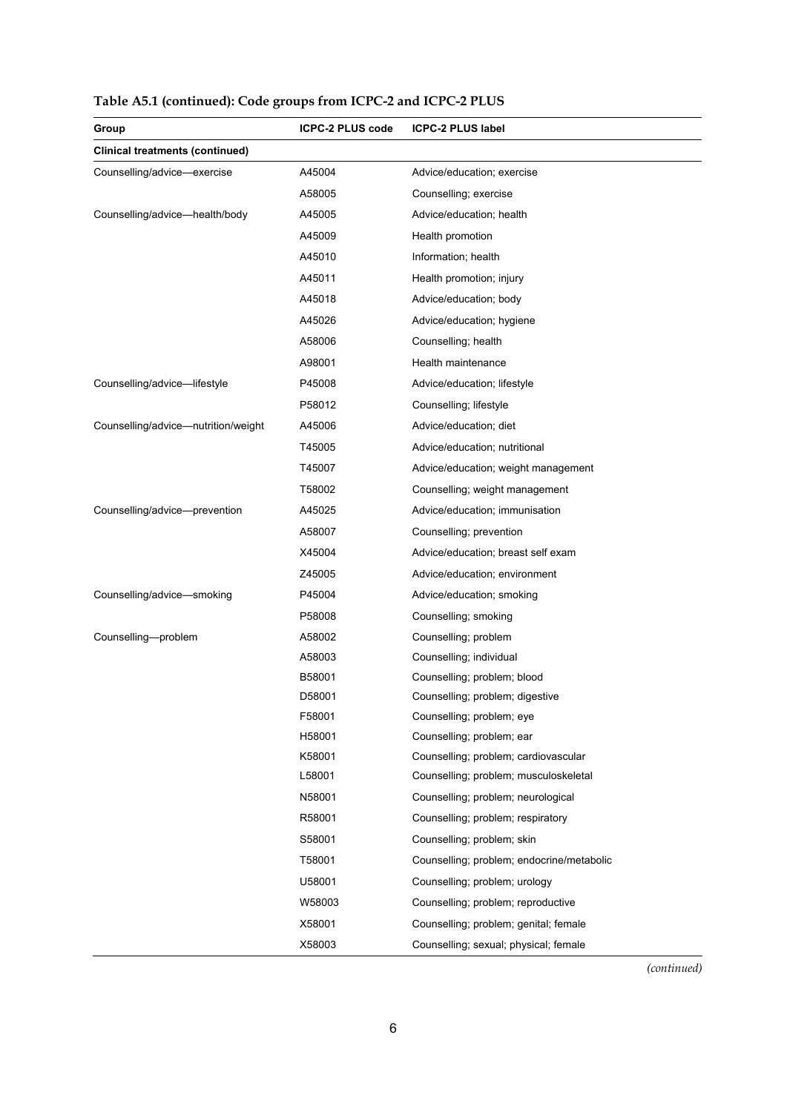| Group                                  | <b>ICPC-2 PLUS code</b> | <b>ICPC-2 PLUS label</b>                  |
|----------------------------------------|-------------------------|-------------------------------------------|
| <b>Clinical treatments (continued)</b> |                         |                                           |
| Counselling/advice-exercise            | A45004                  | Advice/education; exercise                |
|                                        | A58005                  | Counselling; exercise                     |
| Counselling/advice-health/body         | A45005                  | Advice/education; health                  |
|                                        | A45009                  | Health promotion                          |
|                                        | A45010                  | Information; health                       |
|                                        | A45011                  | Health promotion; injury                  |
|                                        | A45018                  | Advice/education; body                    |
|                                        | A45026                  | Advice/education; hygiene                 |
|                                        | A58006                  | Counselling; health                       |
|                                        | A98001                  | Health maintenance                        |
| Counselling/advice-lifestyle           | P45008                  | Advice/education; lifestyle               |
|                                        | P58012                  | Counselling; lifestyle                    |
| Counselling/advice-nutrition/weight    | A45006                  | Advice/education; diet                    |
|                                        | T45005                  | Advice/education; nutritional             |
|                                        | T45007                  | Advice/education; weight management       |
|                                        | T58002                  | Counselling; weight management            |
| Counselling/advice-prevention          | A45025                  | Advice/education; immunisation            |
|                                        | A58007                  | Counselling; prevention                   |
|                                        | X45004                  | Advice/education; breast self exam        |
|                                        | Z45005                  | Advice/education; environment             |
| Counselling/advice-smoking             | P45004                  | Advice/education; smoking                 |
|                                        | P58008                  | Counselling; smoking                      |
| Counselling-problem                    | A58002                  | Counselling; problem                      |
|                                        | A58003                  | Counselling; individual                   |
|                                        | B58001                  | Counselling; problem; blood               |
|                                        | D58001                  | Counselling; problem; digestive           |
|                                        | F58001                  | Counselling; problem; eye                 |
|                                        | H58001                  | Counselling; problem; ear                 |
|                                        | K58001                  | Counselling; problem; cardiovascular      |
|                                        | L58001                  | Counselling; problem; musculoskeletal     |
|                                        | N58001                  | Counselling; problem; neurological        |
|                                        | R58001                  | Counselling; problem; respiratory         |
|                                        | S58001                  | Counselling; problem; skin                |
|                                        | T58001                  | Counselling; problem; endocrine/metabolic |
|                                        | U58001                  | Counselling; problem; urology             |
|                                        | W58003                  | Counselling; problem; reproductive        |
|                                        | X58001                  | Counselling; problem; genital; female     |
|                                        | X58003                  | Counselling; sexual; physical; female     |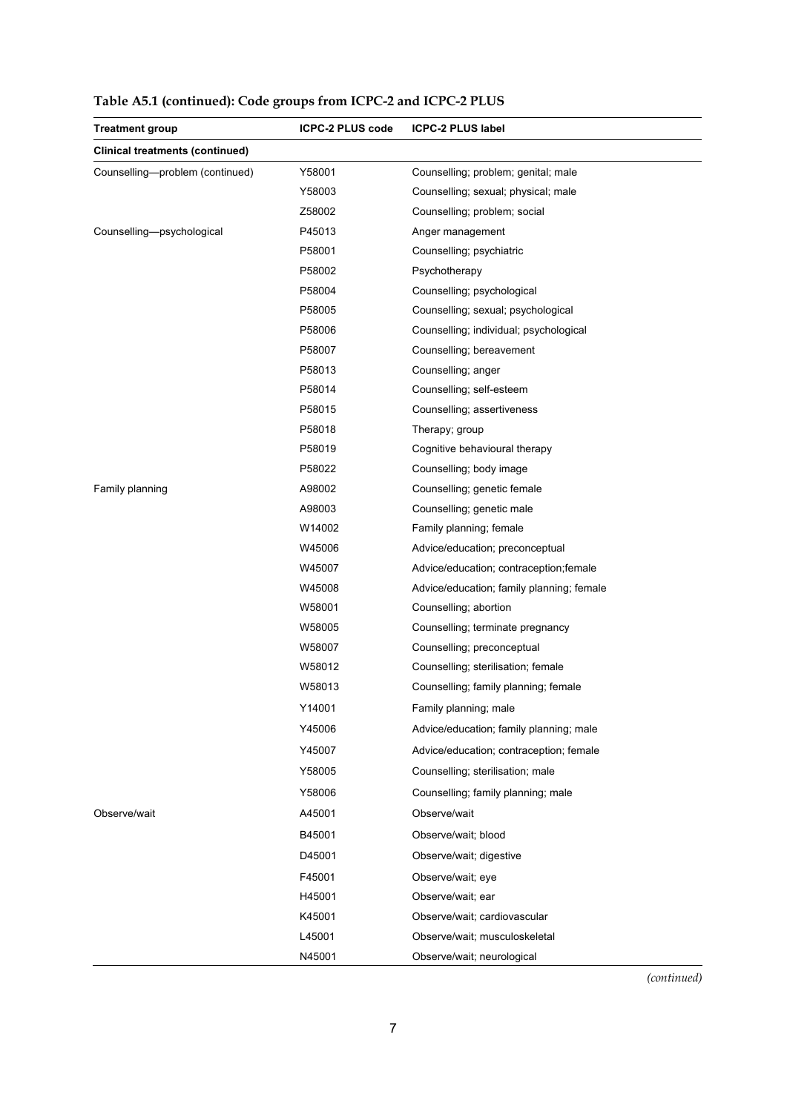| <b>Treatment group</b>                 | <b>ICPC-2 PLUS code</b> | <b>ICPC-2 PLUS label</b>                  |
|----------------------------------------|-------------------------|-------------------------------------------|
| <b>Clinical treatments (continued)</b> |                         |                                           |
| Counselling-problem (continued)        | Y58001                  | Counselling; problem; genital; male       |
|                                        | Y58003                  | Counselling; sexual; physical; male       |
|                                        | Z58002                  | Counselling; problem; social              |
| Counselling-psychological              | P45013                  | Anger management                          |
|                                        | P58001                  | Counselling; psychiatric                  |
|                                        | P58002                  | Psychotherapy                             |
|                                        | P58004                  | Counselling; psychological                |
|                                        | P58005                  | Counselling; sexual; psychological        |
|                                        | P58006                  | Counselling; individual; psychological    |
|                                        | P58007                  | Counselling; bereavement                  |
|                                        | P58013                  | Counselling; anger                        |
|                                        | P58014                  | Counselling; self-esteem                  |
|                                        | P58015                  | Counselling; assertiveness                |
|                                        | P58018                  | Therapy; group                            |
|                                        | P58019                  | Cognitive behavioural therapy             |
|                                        | P58022                  | Counselling; body image                   |
| Family planning                        | A98002                  | Counselling; genetic female               |
|                                        | A98003                  | Counselling; genetic male                 |
|                                        | W14002                  | Family planning; female                   |
|                                        | W45006                  | Advice/education; preconceptual           |
|                                        | W45007                  | Advice/education; contraception; female   |
|                                        | W45008                  | Advice/education; family planning; female |
|                                        | W58001                  | Counselling; abortion                     |
|                                        | W58005                  | Counselling; terminate pregnancy          |
|                                        | W58007                  | Counselling; preconceptual                |
|                                        | W58012                  | Counselling; sterilisation; female        |
|                                        | W58013                  | Counselling; family planning; female      |
|                                        | Y14001                  | Family planning; male                     |
|                                        | Y45006                  | Advice/education; family planning; male   |
|                                        | Y45007                  | Advice/education; contraception; female   |
|                                        | Y58005                  | Counselling; sterilisation; male          |
|                                        | Y58006                  | Counselling; family planning; male        |
| Observe/wait                           | A45001                  | Observe/wait                              |
|                                        | B45001                  | Observe/wait; blood                       |
|                                        | D45001                  | Observe/wait; digestive                   |
|                                        | F45001                  | Observe/wait; eye                         |
|                                        | H45001                  | Observe/wait; ear                         |
|                                        | K45001                  | Observe/wait; cardiovascular              |
|                                        | L45001                  | Observe/wait; musculoskeletal             |
|                                        | N45001                  | Observe/wait; neurological                |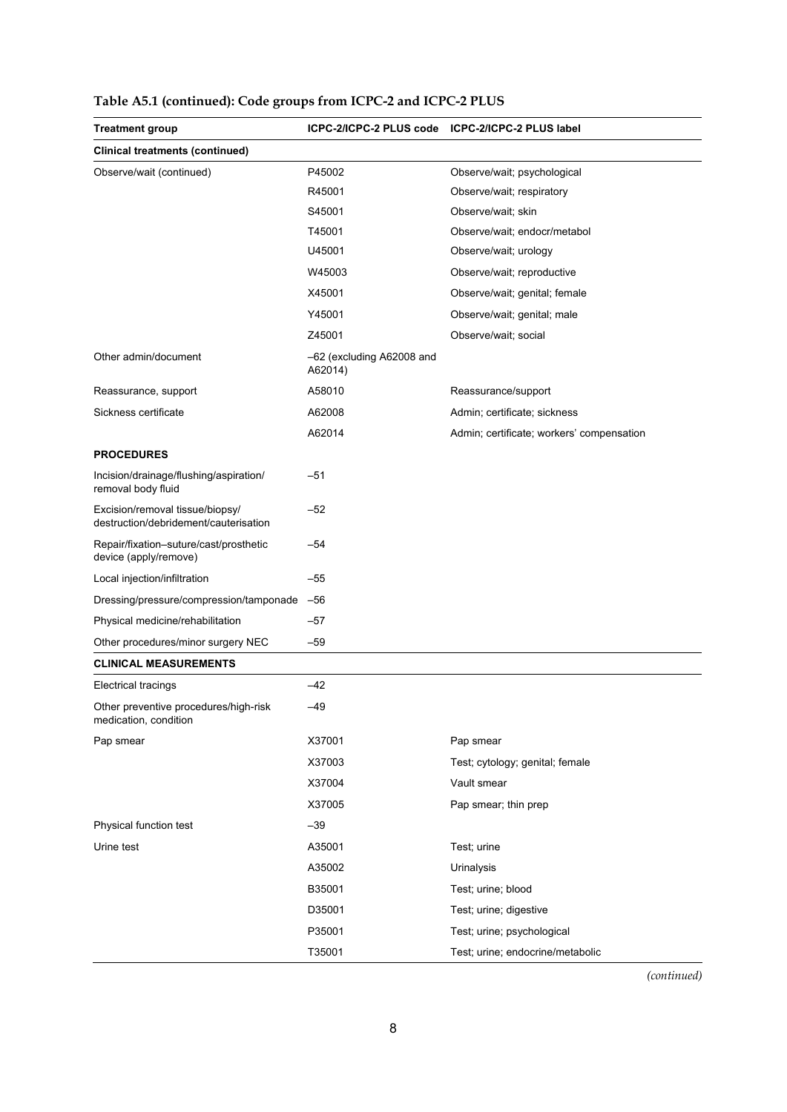| <b>Treatment group</b>                                                   | ICPC-2/ICPC-2 PLUS code              | ICPC-2/ICPC-2 PLUS label                  |
|--------------------------------------------------------------------------|--------------------------------------|-------------------------------------------|
| <b>Clinical treatments (continued)</b>                                   |                                      |                                           |
| Observe/wait (continued)                                                 | P45002                               | Observe/wait; psychological               |
|                                                                          | R45001                               | Observe/wait; respiratory                 |
|                                                                          | S45001                               | Observe/wait; skin                        |
|                                                                          | T45001                               | Observe/wait; endocr/metabol              |
|                                                                          | U45001                               | Observe/wait; urology                     |
|                                                                          | W45003                               | Observe/wait; reproductive                |
|                                                                          | X45001                               | Observe/wait; genital; female             |
|                                                                          | Y45001                               | Observe/wait; genital; male               |
|                                                                          | Z45001                               | Observe/wait; social                      |
| Other admin/document                                                     | -62 (excluding A62008 and<br>A62014) |                                           |
| Reassurance, support                                                     | A58010                               | Reassurance/support                       |
| Sickness certificate                                                     | A62008                               | Admin; certificate; sickness              |
|                                                                          | A62014                               | Admin; certificate; workers' compensation |
| <b>PROCEDURES</b>                                                        |                                      |                                           |
| Incision/drainage/flushing/aspiration/<br>removal body fluid             | -51                                  |                                           |
| Excision/removal tissue/biopsy/<br>destruction/debridement/cauterisation | $-52$                                |                                           |
| Repair/fixation-suture/cast/prosthetic<br>device (apply/remove)          | $-54$                                |                                           |
| Local injection/infiltration                                             | $-55$                                |                                           |
| Dressing/pressure/compression/tamponade                                  | $-56$                                |                                           |
| Physical medicine/rehabilitation                                         | -57                                  |                                           |
| Other procedures/minor surgery NEC                                       | $-59$                                |                                           |
| <b>CLINICAL MEASUREMENTS</b>                                             |                                      |                                           |
| Electrical tracings                                                      | $-42$                                |                                           |
| Other preventive procedures/high-risk<br>medication, condition           | -49                                  |                                           |
| Pap smear                                                                | X37001                               | Pap smear                                 |
|                                                                          | X37003                               | Test; cytology; genital; female           |
|                                                                          | X37004                               | Vault smear                               |
|                                                                          | X37005                               | Pap smear; thin prep                      |
| Physical function test                                                   | $-39$                                |                                           |
| Urine test                                                               | A35001                               | Test; urine                               |
|                                                                          | A35002                               | Urinalysis                                |
|                                                                          | B35001                               | Test; urine; blood                        |
|                                                                          | D35001                               | Test; urine; digestive                    |
|                                                                          | P35001                               | Test; urine; psychological                |
|                                                                          | T35001                               | Test; urine; endocrine/metabolic          |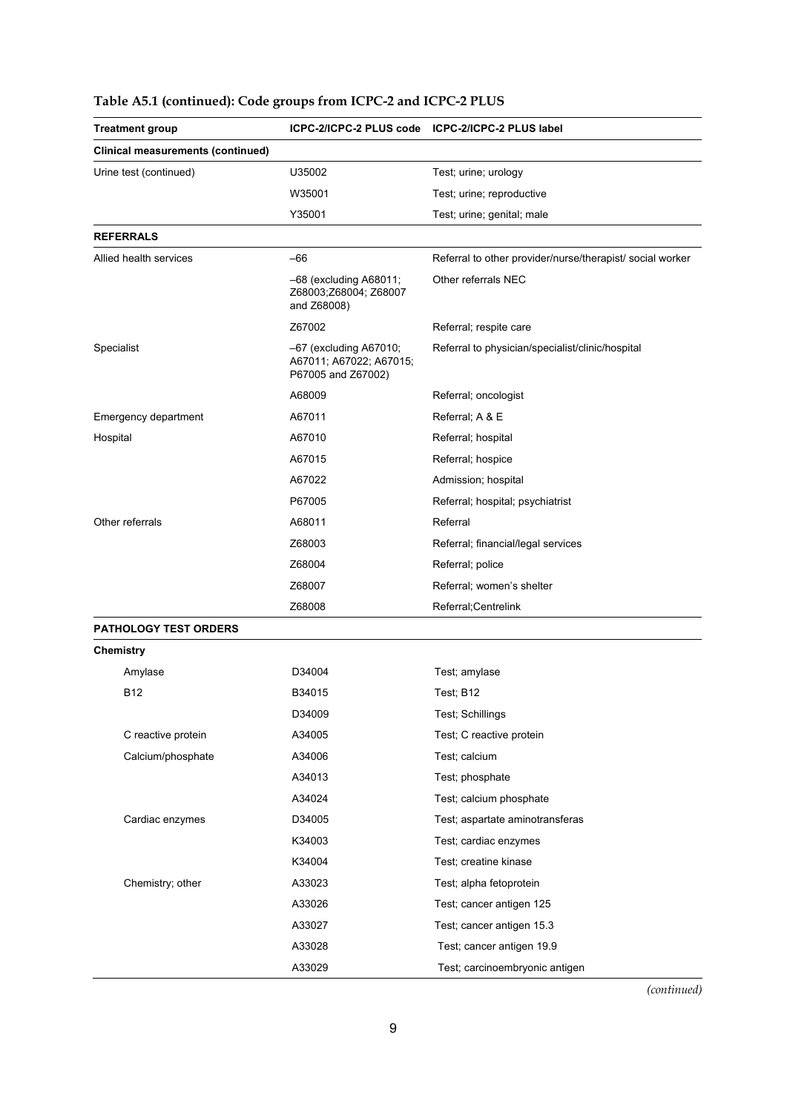| <b>Treatment group</b>                   |                                                                           | ICPC-2/ICPC-2 PLUS code ICPC-2/ICPC-2 PLUS label          |  |
|------------------------------------------|---------------------------------------------------------------------------|-----------------------------------------------------------|--|
| <b>Clinical measurements (continued)</b> |                                                                           |                                                           |  |
| Urine test (continued)                   | U35002                                                                    | Test; urine; urology                                      |  |
|                                          | W35001                                                                    | Test; urine; reproductive                                 |  |
|                                          | Y35001                                                                    | Test; urine; genital; male                                |  |
| <b>REFERRALS</b>                         |                                                                           |                                                           |  |
| Allied health services                   | $-66$                                                                     | Referral to other provider/nurse/therapist/ social worker |  |
|                                          | $-68$ (excluding A68011;<br>Z68003;Z68004; Z68007<br>and Z68008)          | Other referrals NEC                                       |  |
|                                          | Z67002                                                                    | Referral; respite care                                    |  |
| Specialist                               | $-67$ (excluding A67010;<br>A67011; A67022; A67015;<br>P67005 and Z67002) | Referral to physician/specialist/clinic/hospital          |  |
|                                          | A68009                                                                    | Referral; oncologist                                      |  |
| Emergency department                     | A67011                                                                    | Referral; A & E                                           |  |
| Hospital                                 | A67010                                                                    | Referral; hospital                                        |  |
|                                          | A67015                                                                    | Referral; hospice                                         |  |
|                                          | A67022                                                                    | Admission; hospital                                       |  |
|                                          | P67005                                                                    | Referral; hospital; psychiatrist                          |  |
| Other referrals                          | A68011                                                                    | Referral                                                  |  |
|                                          | Z68003                                                                    | Referral; financial/legal services                        |  |
|                                          | Z68004                                                                    | Referral; police                                          |  |
|                                          | Z68007                                                                    | Referral; women's shelter                                 |  |
|                                          | Z68008                                                                    | Referral;Centrelink                                       |  |
| PATHOLOGY TEST ORDERS                    |                                                                           |                                                           |  |
| <b>Chemistry</b>                         |                                                                           |                                                           |  |
| Amylase                                  | D34004                                                                    | Test; amylase                                             |  |
| <b>B12</b>                               | B34015                                                                    | Test; B12                                                 |  |
|                                          | D34009                                                                    | Test; Schillings                                          |  |
| C reactive protein                       | A34005                                                                    | Test; C reactive protein                                  |  |
| Calcium/phosphate                        | A34006                                                                    | Test; calcium                                             |  |
|                                          | A34013                                                                    | Test; phosphate                                           |  |
|                                          | A34024                                                                    | Test; calcium phosphate                                   |  |
| Cardiac enzymes                          | D34005                                                                    | Test; aspartate aminotransferas                           |  |
|                                          | K34003                                                                    | Test; cardiac enzymes                                     |  |
|                                          | K34004                                                                    | Test; creatine kinase                                     |  |
| Chemistry; other                         | A33023                                                                    | Test; alpha fetoprotein                                   |  |
|                                          | A33026                                                                    | Test; cancer antigen 125                                  |  |
|                                          | A33027                                                                    | Test; cancer antigen 15.3                                 |  |
|                                          | A33028                                                                    | Test; cancer antigen 19.9                                 |  |
|                                          | A33029                                                                    | Test; carcinoembryonic antigen                            |  |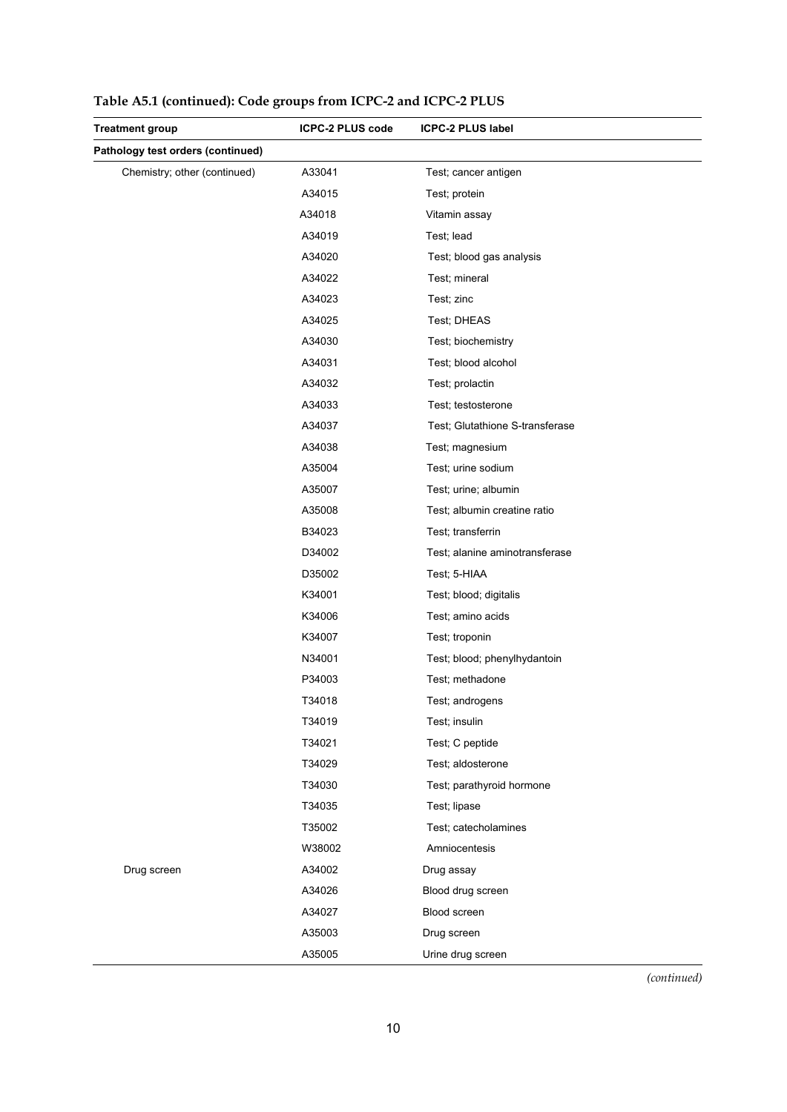| <b>Treatment group</b>            | <b>ICPC-2 PLUS code</b> | <b>ICPC-2 PLUS label</b>        |
|-----------------------------------|-------------------------|---------------------------------|
| Pathology test orders (continued) |                         |                                 |
| Chemistry; other (continued)      | A33041                  | Test; cancer antigen            |
|                                   | A34015                  | Test; protein                   |
|                                   | A34018                  | Vitamin assay                   |
|                                   | A34019                  | Test; lead                      |
|                                   | A34020                  | Test; blood gas analysis        |
|                                   | A34022                  | Test; mineral                   |
|                                   | A34023                  | Test; zinc                      |
|                                   | A34025                  | Test; DHEAS                     |
|                                   | A34030                  | Test; biochemistry              |
|                                   | A34031                  | Test; blood alcohol             |
|                                   | A34032                  | Test; prolactin                 |
|                                   | A34033                  | Test; testosterone              |
|                                   | A34037                  | Test; Glutathione S-transferase |
|                                   | A34038                  | Test; magnesium                 |
|                                   | A35004                  | Test; urine sodium              |
|                                   | A35007                  | Test; urine; albumin            |
|                                   | A35008                  | Test; albumin creatine ratio    |
|                                   | B34023                  | Test; transferrin               |
|                                   | D34002                  | Test; alanine aminotransferase  |
|                                   | D35002                  | Test; 5-HIAA                    |
|                                   | K34001                  | Test; blood; digitalis          |
|                                   | K34006                  | Test; amino acids               |
|                                   | K34007                  | Test; troponin                  |
|                                   | N34001                  | Test; blood; phenylhydantoin    |
|                                   | P34003                  | Test; methadone                 |
|                                   | T34018                  | Test; androgens                 |
|                                   | T34019                  | Test; insulin                   |
|                                   | T34021                  | Test; C peptide                 |
|                                   | T34029                  | Test; aldosterone               |
|                                   | T34030                  | Test; parathyroid hormone       |
|                                   | T34035                  | Test; lipase                    |
|                                   | T35002                  | Test; catecholamines            |
|                                   | W38002                  | Amniocentesis                   |
| Drug screen                       | A34002                  | Drug assay                      |
|                                   | A34026                  | Blood drug screen               |
|                                   | A34027                  | Blood screen                    |
|                                   | A35003                  | Drug screen                     |
|                                   | A35005                  | Urine drug screen               |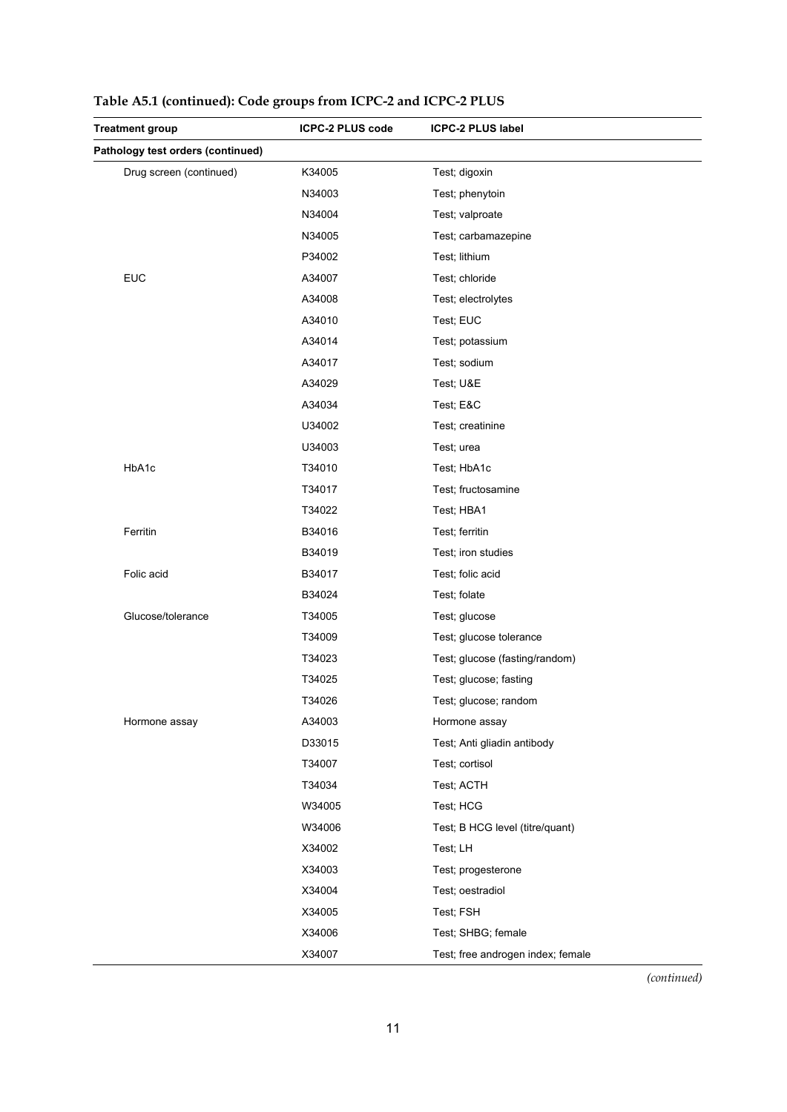| <b>Treatment group</b>            | <b>ICPC-2 PLUS code</b> | <b>ICPC-2 PLUS label</b>          |
|-----------------------------------|-------------------------|-----------------------------------|
| Pathology test orders (continued) |                         |                                   |
| Drug screen (continued)           | K34005                  | Test; digoxin                     |
|                                   | N34003                  | Test; phenytoin                   |
|                                   | N34004                  | Test; valproate                   |
|                                   | N34005                  | Test; carbamazepine               |
|                                   | P34002                  | Test; lithium                     |
| <b>EUC</b>                        | A34007                  | Test; chloride                    |
|                                   | A34008                  | Test; electrolytes                |
|                                   | A34010                  | Test; EUC                         |
|                                   | A34014                  | Test; potassium                   |
|                                   | A34017                  | Test; sodium                      |
|                                   | A34029                  | Test; U&E                         |
|                                   | A34034                  | Test; E&C                         |
|                                   | U34002                  | Test; creatinine                  |
|                                   | U34003                  | Test; urea                        |
| HbA1c                             | T34010                  | Test; HbA1c                       |
|                                   | T34017                  | Test; fructosamine                |
|                                   | T34022                  | Test; HBA1                        |
| Ferritin                          | B34016                  | Test; ferritin                    |
|                                   | B34019                  | Test; iron studies                |
| Folic acid                        | B34017                  | Test; folic acid                  |
|                                   | B34024                  | Test; folate                      |
| Glucose/tolerance                 | T34005                  | Test; glucose                     |
|                                   | T34009                  | Test; glucose tolerance           |
|                                   | T34023                  | Test; glucose (fasting/random)    |
|                                   | T34025                  | Test; glucose; fasting            |
|                                   | T34026                  | Test; glucose; random             |
| Hormone assay                     | A34003                  | Hormone assay                     |
|                                   | D33015                  | Test; Anti gliadin antibody       |
|                                   | T34007                  | Test; cortisol                    |
|                                   | T34034                  | Test; ACTH                        |
|                                   | W34005                  | Test; HCG                         |
|                                   | W34006                  | Test; B HCG level (titre/quant)   |
|                                   | X34002                  | Test; LH                          |
|                                   | X34003                  | Test; progesterone                |
|                                   | X34004                  | Test; oestradiol                  |
|                                   | X34005                  | Test; FSH                         |
|                                   | X34006                  | Test; SHBG; female                |
|                                   | X34007                  | Test; free androgen index; female |

| Table A5.1 (continued): Code groups from ICPC-2 and ICPC-2 PLUS |  |  |  |  |  |
|-----------------------------------------------------------------|--|--|--|--|--|
|-----------------------------------------------------------------|--|--|--|--|--|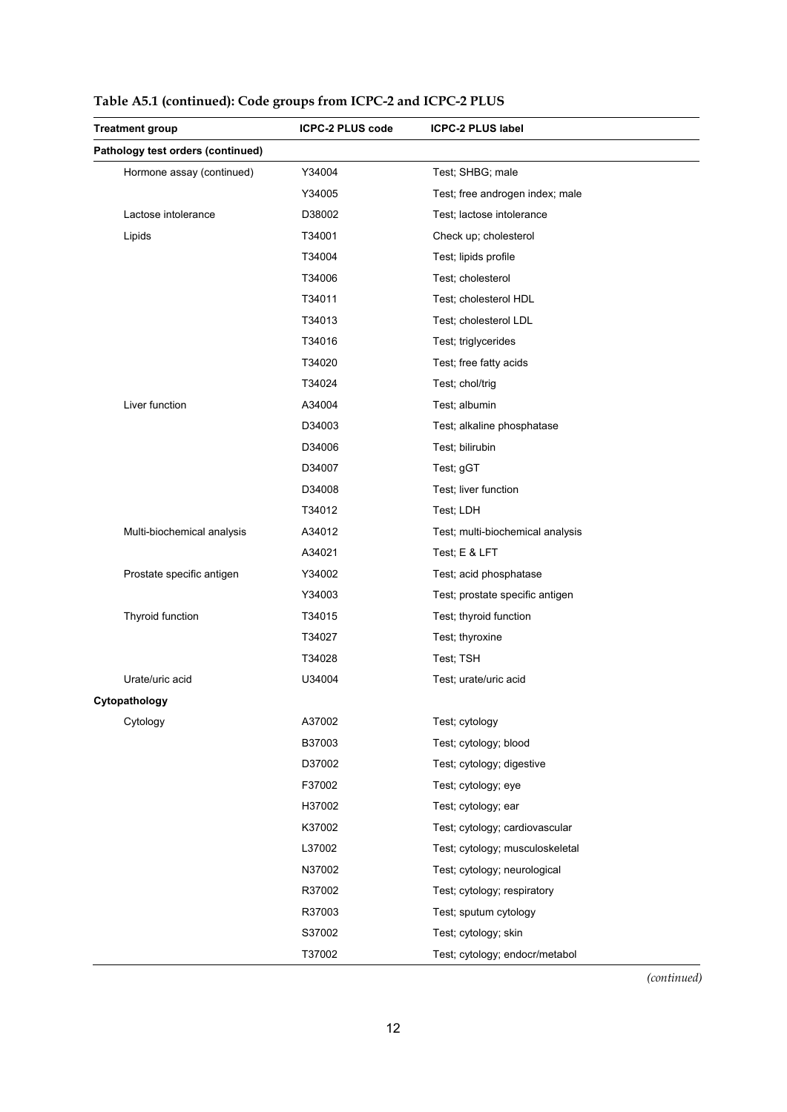| <b>Treatment group</b>            | <b>ICPC-2 PLUS code</b> | <b>ICPC-2 PLUS label</b>         |
|-----------------------------------|-------------------------|----------------------------------|
| Pathology test orders (continued) |                         |                                  |
| Hormone assay (continued)         | Y34004                  | Test; SHBG; male                 |
|                                   | Y34005                  | Test; free androgen index; male  |
| Lactose intolerance               | D38002                  | Test; lactose intolerance        |
| Lipids                            | T34001                  | Check up; cholesterol            |
|                                   | T34004                  | Test; lipids profile             |
|                                   | T34006                  | Test; cholesterol                |
|                                   | T34011                  | Test; cholesterol HDL            |
|                                   | T34013                  | Test; cholesterol LDL            |
|                                   | T34016                  | Test; triglycerides              |
|                                   | T34020                  | Test; free fatty acids           |
|                                   | T34024                  | Test; chol/trig                  |
| Liver function                    | A34004                  | Test; albumin                    |
|                                   | D34003                  | Test; alkaline phosphatase       |
|                                   | D34006                  | Test; bilirubin                  |
|                                   | D34007                  | Test; gGT                        |
|                                   | D34008                  | Test; liver function             |
|                                   | T34012                  | Test; LDH                        |
| Multi-biochemical analysis        | A34012                  | Test; multi-biochemical analysis |
|                                   | A34021                  | Test; E & LFT                    |
| Prostate specific antigen         | Y34002                  | Test; acid phosphatase           |
|                                   | Y34003                  | Test; prostate specific antigen  |
| Thyroid function                  | T34015                  | Test; thyroid function           |
|                                   | T34027                  | Test; thyroxine                  |
|                                   | T34028                  | Test; TSH                        |
| Urate/uric acid                   | U34004                  | Test: urate/uric acid            |
| Cytopathology                     |                         |                                  |
| Cytology                          | A37002                  | Test; cytology                   |
|                                   | B37003                  | Test; cytology; blood            |
|                                   | D37002                  | Test; cytology; digestive        |
|                                   | F37002                  | Test; cytology; eye              |
|                                   | H37002                  | Test; cytology; ear              |
|                                   | K37002                  | Test; cytology; cardiovascular   |
|                                   | L37002                  | Test; cytology; musculoskeletal  |
|                                   | N37002                  | Test; cytology; neurological     |
|                                   | R37002                  | Test; cytology; respiratory      |
|                                   | R37003                  | Test; sputum cytology            |
|                                   | S37002                  | Test; cytology; skin             |
|                                   | T37002                  | Test; cytology; endocr/metabol   |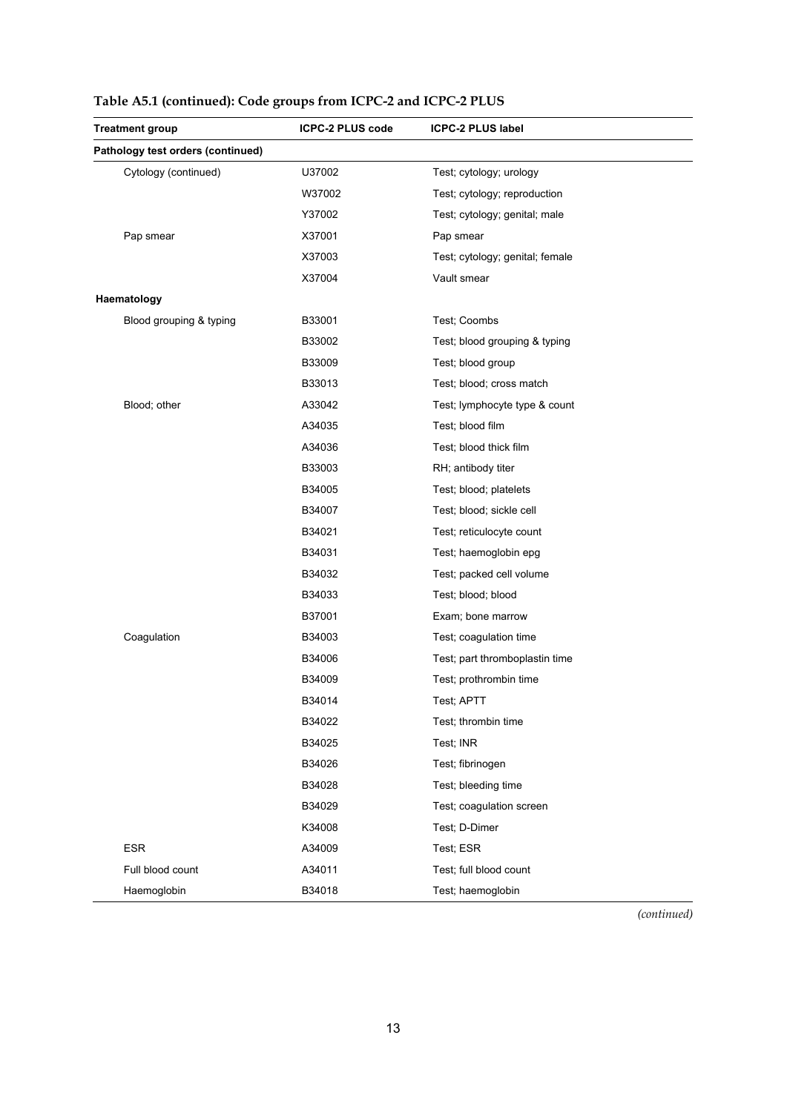| <b>Treatment group</b>            | <b>ICPC-2 PLUS code</b> | <b>ICPC-2 PLUS label</b>        |
|-----------------------------------|-------------------------|---------------------------------|
| Pathology test orders (continued) |                         |                                 |
| Cytology (continued)              | U37002                  | Test; cytology; urology         |
|                                   | W37002                  | Test; cytology; reproduction    |
|                                   | Y37002                  | Test; cytology; genital; male   |
| Pap smear                         | X37001                  | Pap smear                       |
|                                   | X37003                  | Test; cytology; genital; female |
|                                   | X37004                  | Vault smear                     |
| Haematology                       |                         |                                 |
| Blood grouping & typing           | B33001                  | Test; Coombs                    |
|                                   | B33002                  | Test; blood grouping & typing   |
|                                   | B33009                  | Test; blood group               |
|                                   | B33013                  | Test; blood; cross match        |
| Blood; other                      | A33042                  | Test; lymphocyte type & count   |
|                                   | A34035                  | Test; blood film                |
|                                   | A34036                  | Test; blood thick film          |
|                                   | B33003                  | RH; antibody titer              |
|                                   | B34005                  | Test; blood; platelets          |
|                                   | B34007                  | Test; blood; sickle cell        |
|                                   | B34021                  | Test; reticulocyte count        |
|                                   | B34031                  | Test; haemoglobin epg           |
|                                   | B34032                  | Test; packed cell volume        |
|                                   | B34033                  | Test; blood; blood              |
|                                   | B37001                  | Exam; bone marrow               |
| Coagulation                       | B34003                  | Test; coagulation time          |
|                                   | B34006                  | Test; part thromboplastin time  |
|                                   | B34009                  | Test; prothrombin time          |
|                                   | B34014                  | Test; APTT                      |
|                                   | B34022                  | Test; thrombin time             |
|                                   | B34025                  | Test; INR                       |
|                                   | B34026                  | Test; fibrinogen                |
|                                   | B34028                  | Test; bleeding time             |
|                                   | B34029                  | Test; coagulation screen        |
|                                   | K34008                  | Test; D-Dimer                   |
| <b>ESR</b>                        | A34009                  | Test; ESR                       |
| Full blood count                  | A34011                  | Test; full blood count          |
| Haemoglobin                       | B34018                  | Test; haemoglobin               |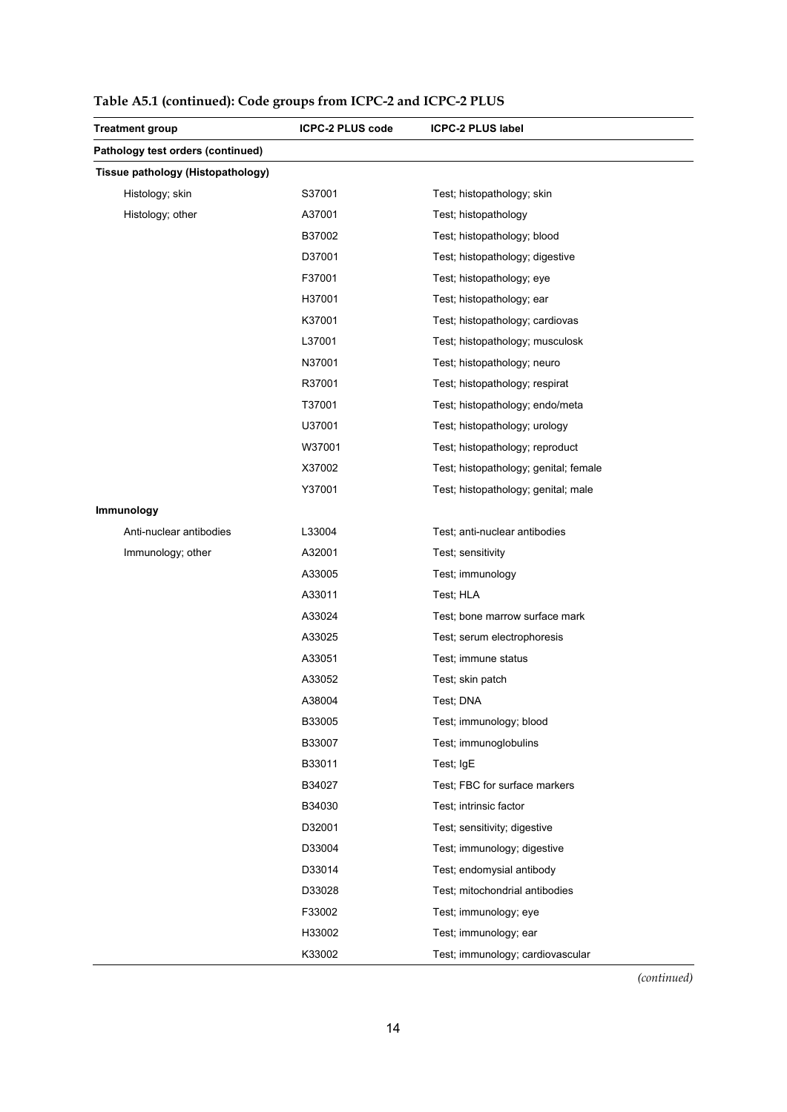| <b>Treatment group</b>            | <b>ICPC-2 PLUS code</b> | <b>ICPC-2 PLUS label</b>              |
|-----------------------------------|-------------------------|---------------------------------------|
| Pathology test orders (continued) |                         |                                       |
| Tissue pathology (Histopathology) |                         |                                       |
| Histology; skin                   | S37001                  | Test; histopathology; skin            |
| Histology; other                  | A37001                  | Test; histopathology                  |
|                                   | B37002                  | Test; histopathology; blood           |
|                                   | D37001                  | Test; histopathology; digestive       |
|                                   | F37001                  | Test; histopathology; eye             |
|                                   | H37001                  | Test; histopathology; ear             |
|                                   | K37001                  | Test; histopathology; cardiovas       |
|                                   | L37001                  | Test; histopathology; musculosk       |
|                                   | N37001                  | Test; histopathology; neuro           |
|                                   | R37001                  | Test; histopathology; respirat        |
|                                   | T37001                  | Test; histopathology; endo/meta       |
|                                   | U37001                  | Test; histopathology; urology         |
|                                   | W37001                  | Test; histopathology; reproduct       |
|                                   | X37002                  | Test; histopathology; genital; female |
|                                   | Y37001                  | Test; histopathology; genital; male   |
| Immunology                        |                         |                                       |
| Anti-nuclear antibodies           | L33004                  | Test; anti-nuclear antibodies         |
| Immunology; other                 | A32001                  | Test; sensitivity                     |
|                                   | A33005                  | Test; immunology                      |
|                                   | A33011                  | Test; HLA                             |
|                                   | A33024                  | Test; bone marrow surface mark        |
|                                   | A33025                  | Test; serum electrophoresis           |
|                                   | A33051                  | Test; immune status                   |
|                                   | A33052                  | Test; skin patch                      |
|                                   | A38004                  | Test: DNA                             |
|                                   | B33005                  | Test; immunology; blood               |
|                                   | B33007                  | Test; immunoglobulins                 |
|                                   | B33011                  | Test; IgE                             |
|                                   | B34027                  | Test; FBC for surface markers         |
|                                   | B34030                  | Test; intrinsic factor                |
|                                   | D32001                  | Test; sensitivity; digestive          |
|                                   | D33004                  | Test; immunology; digestive           |
|                                   | D33014                  | Test; endomysial antibody             |
|                                   | D33028                  | Test; mitochondrial antibodies        |
|                                   | F33002                  | Test; immunology; eye                 |
|                                   | H33002                  | Test; immunology; ear                 |
|                                   | K33002                  | Test; immunology; cardiovascular      |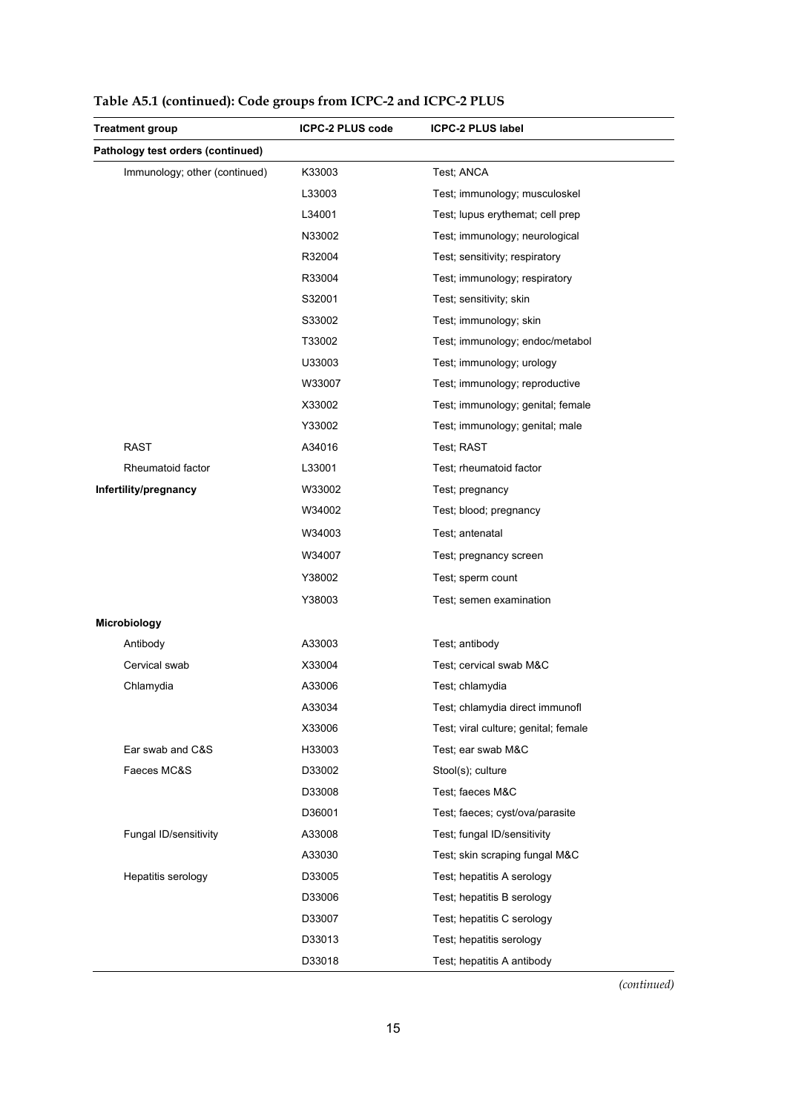| <b>Treatment group</b>            | ICPC-2 PLUS code | ICPC-2 PLUS label                    |
|-----------------------------------|------------------|--------------------------------------|
| Pathology test orders (continued) |                  |                                      |
| Immunology; other (continued)     | K33003           | Test; ANCA                           |
|                                   | L33003           | Test; immunology; musculoskel        |
|                                   | L34001           | Test; lupus erythemat; cell prep     |
|                                   | N33002           | Test; immunology; neurological       |
|                                   | R32004           | Test; sensitivity; respiratory       |
|                                   | R33004           | Test; immunology; respiratory        |
|                                   | S32001           | Test; sensitivity; skin              |
|                                   | S33002           | Test; immunology; skin               |
|                                   | T33002           | Test; immunology; endoc/metabol      |
|                                   | U33003           | Test; immunology; urology            |
|                                   | W33007           | Test; immunology; reproductive       |
|                                   | X33002           | Test; immunology; genital; female    |
|                                   | Y33002           | Test; immunology; genital; male      |
| <b>RAST</b>                       | A34016           | Test; RAST                           |
| Rheumatoid factor                 | L33001           | Test; rheumatoid factor              |
| Infertility/pregnancy             | W33002           | Test; pregnancy                      |
|                                   | W34002           | Test; blood; pregnancy               |
|                                   | W34003           | Test; antenatal                      |
|                                   | W34007           | Test; pregnancy screen               |
|                                   | Y38002           | Test; sperm count                    |
|                                   | Y38003           | Test; semen examination              |
| Microbiology                      |                  |                                      |
| Antibody                          | A33003           | Test; antibody                       |
| Cervical swab                     | X33004           | Test; cervical swab M&C              |
| Chlamydia                         | A33006           | Test; chlamydia                      |
|                                   | A33034           | Test: chlamvdia direct immunofl      |
|                                   | X33006           | Test; viral culture; genital; female |
| Ear swab and C&S                  | H33003           | Test; ear swab M&C                   |
| Faeces MC&S                       | D33002           | Stool(s); culture                    |
|                                   | D33008           | Test; faeces M&C                     |
|                                   | D36001           | Test; faeces; cyst/ova/parasite      |
| Fungal ID/sensitivity             | A33008           | Test; fungal ID/sensitivity          |
|                                   | A33030           | Test; skin scraping fungal M&C       |
| Hepatitis serology                | D33005           | Test; hepatitis A serology           |
|                                   | D33006           | Test; hepatitis B serology           |
|                                   | D33007           | Test; hepatitis C serology           |
|                                   | D33013           | Test; hepatitis serology             |
|                                   | D33018           | Test; hepatitis A antibody           |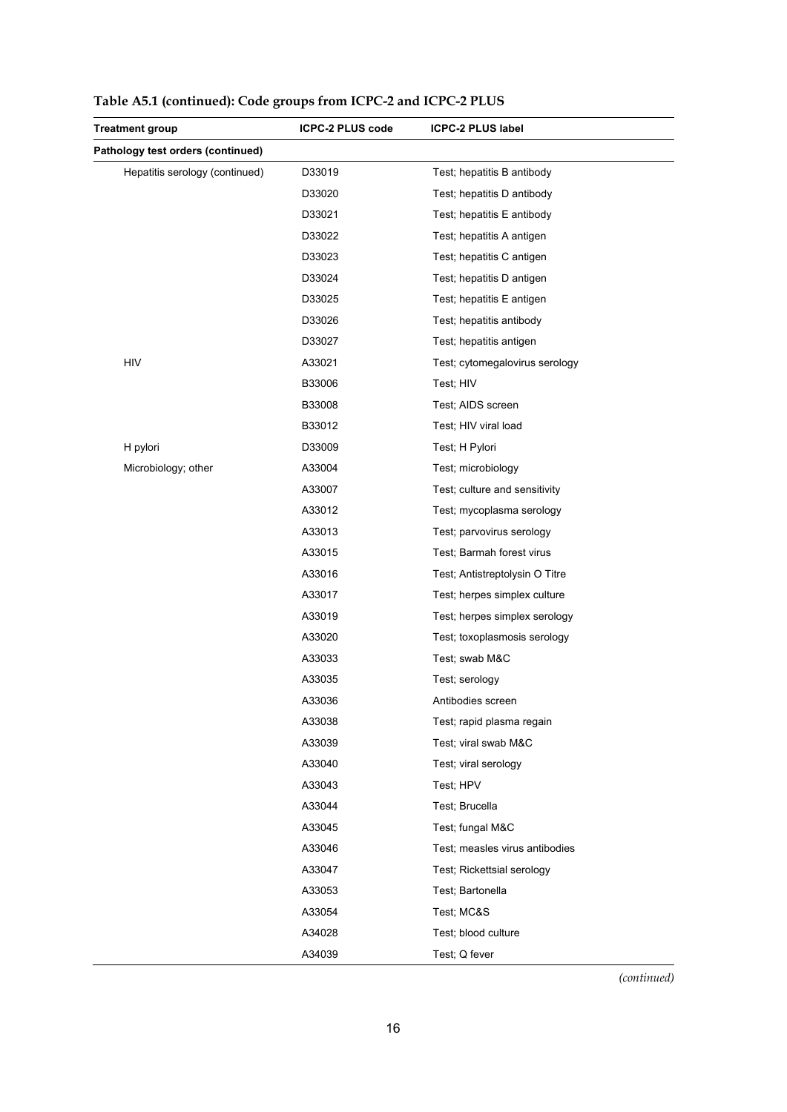| <b>Treatment group</b>            | <b>ICPC-2 PLUS code</b> | <b>ICPC-2 PLUS label</b>       |
|-----------------------------------|-------------------------|--------------------------------|
| Pathology test orders (continued) |                         |                                |
| Hepatitis serology (continued)    | D33019                  | Test; hepatitis B antibody     |
|                                   | D33020                  | Test; hepatitis D antibody     |
|                                   | D33021                  | Test; hepatitis E antibody     |
|                                   | D33022                  | Test; hepatitis A antigen      |
|                                   | D33023                  | Test; hepatitis C antigen      |
|                                   | D33024                  | Test; hepatitis D antigen      |
|                                   | D33025                  | Test; hepatitis E antigen      |
|                                   | D33026                  | Test; hepatitis antibody       |
|                                   | D33027                  | Test; hepatitis antigen        |
| <b>HIV</b>                        | A33021                  | Test; cytomegalovirus serology |
|                                   | B33006                  | Test; HIV                      |
|                                   | B33008                  | Test; AIDS screen              |
|                                   | B33012                  | Test; HIV viral load           |
| H pylori                          | D33009                  | Test; H Pylori                 |
| Microbiology; other               | A33004                  | Test; microbiology             |
|                                   | A33007                  | Test; culture and sensitivity  |
|                                   | A33012                  | Test; mycoplasma serology      |
|                                   | A33013                  | Test; parvovirus serology      |
|                                   | A33015                  | Test; Barmah forest virus      |
|                                   | A33016                  | Test; Antistreptolysin O Titre |
|                                   | A33017                  | Test; herpes simplex culture   |
|                                   | A33019                  | Test; herpes simplex serology  |
|                                   | A33020                  | Test; toxoplasmosis serology   |
|                                   | A33033                  | Test; swab M&C                 |
|                                   | A33035                  | Test; serology                 |
|                                   | A33036                  | Antibodies screen              |
|                                   | A33038                  | Test; rapid plasma regain      |
|                                   | A33039                  | Test; viral swab M&C           |
|                                   | A33040                  | Test; viral serology           |
|                                   | A33043                  | Test; HPV                      |
|                                   | A33044                  | Test; Brucella                 |
|                                   | A33045                  | Test; fungal M&C               |
|                                   | A33046                  | Test; measles virus antibodies |
|                                   | A33047                  | Test; Rickettsial serology     |
|                                   | A33053                  | Test; Bartonella               |
|                                   | A33054                  | Test; MC&S                     |
|                                   | A34028                  | Test; blood culture            |
|                                   | A34039                  | Test; Q fever                  |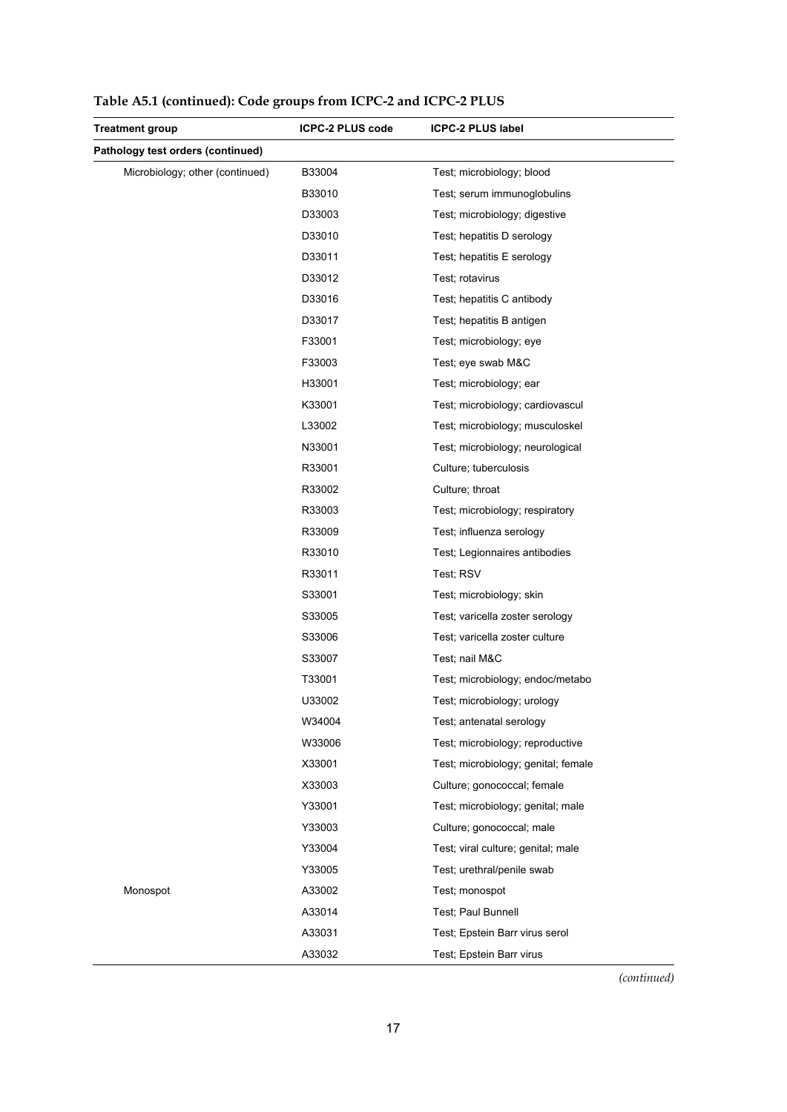| <b>Treatment group</b>            | <b>ICPC-2 PLUS code</b> | <b>ICPC-2 PLUS label</b>            |
|-----------------------------------|-------------------------|-------------------------------------|
| Pathology test orders (continued) |                         |                                     |
| Microbiology; other (continued)   | B33004                  | Test; microbiology; blood           |
|                                   | B33010                  | Test; serum immunoglobulins         |
|                                   | D33003                  | Test; microbiology; digestive       |
|                                   | D33010                  | Test; hepatitis D serology          |
|                                   | D33011                  | Test; hepatitis E serology          |
|                                   | D33012                  | Test; rotavirus                     |
|                                   | D33016                  | Test; hepatitis C antibody          |
|                                   | D33017                  | Test; hepatitis B antigen           |
|                                   | F33001                  | Test; microbiology; eye             |
|                                   | F33003                  | Test; eye swab M&C                  |
|                                   | H33001                  | Test; microbiology; ear             |
|                                   | K33001                  | Test; microbiology; cardiovascul    |
|                                   | L33002                  | Test; microbiology; musculoskel     |
|                                   | N33001                  | Test; microbiology; neurological    |
|                                   | R33001                  | Culture; tuberculosis               |
|                                   | R33002                  | Culture; throat                     |
|                                   | R33003                  | Test; microbiology; respiratory     |
|                                   | R33009                  | Test; influenza serology            |
|                                   | R33010                  | Test; Legionnaires antibodies       |
|                                   | R33011                  | Test; RSV                           |
|                                   | S33001                  | Test; microbiology; skin            |
|                                   | S33005                  | Test; varicella zoster serology     |
|                                   | S33006                  | Test; varicella zoster culture      |
|                                   | S33007                  | Test; nail M&C                      |
|                                   | T33001                  | Test; microbiology; endoc/metabo    |
|                                   | U33002                  | Test; microbiology; urology         |
|                                   | W34004                  | Test; antenatal serology            |
|                                   | W33006                  | Test; microbiology; reproductive    |
|                                   | X33001                  | Test; microbiology; genital; female |
|                                   | X33003                  | Culture; gonococcal; female         |
|                                   | Y33001                  | Test; microbiology; genital; male   |
|                                   | Y33003                  | Culture; gonococcal; male           |
|                                   | Y33004                  | Test; viral culture; genital; male  |
|                                   | Y33005                  | Test; urethral/penile swab          |
| Monospot                          | A33002                  | Test; monospot                      |
|                                   | A33014                  | Test; Paul Bunnell                  |
|                                   | A33031                  | Test; Epstein Barr virus serol      |
|                                   | A33032                  | Test; Epstein Barr virus            |

**Table A5.1 (continued): Code groups from ICPC-2 and ICPC-2 PLUS**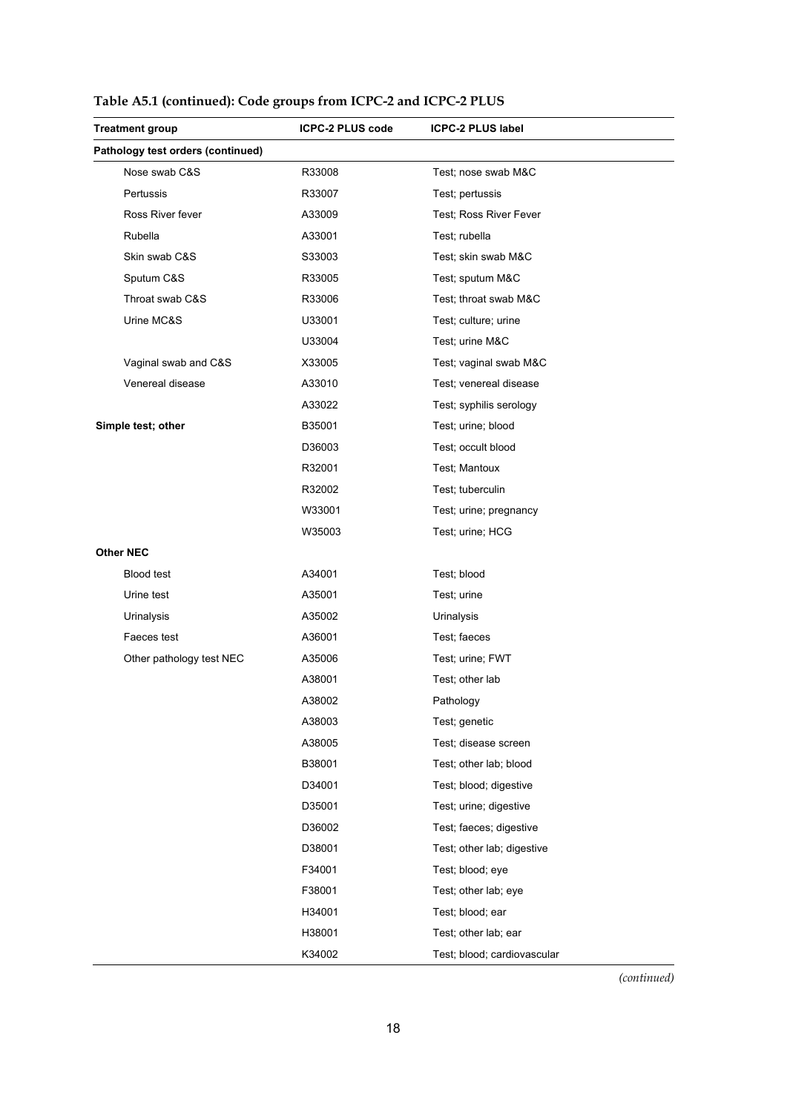| <b>Treatment group</b>            | <b>ICPC-2 PLUS code</b> | <b>ICPC-2 PLUS label</b>    |
|-----------------------------------|-------------------------|-----------------------------|
| Pathology test orders (continued) |                         |                             |
| Nose swab C&S                     | R33008                  | Test; nose swab M&C         |
| Pertussis                         | R33007                  | Test; pertussis             |
| Ross River fever                  | A33009                  | Test: Ross River Fever      |
| Rubella                           | A33001                  | Test; rubella               |
| Skin swab C&S                     | S33003                  | Test; skin swab M&C         |
| Sputum C&S                        | R33005                  | Test; sputum M&C            |
| Throat swab C&S                   | R33006                  | Test; throat swab M&C       |
| Urine MC&S                        | U33001                  | Test; culture; urine        |
|                                   | U33004                  | Test; urine M&C             |
| Vaginal swab and C&S              | X33005                  | Test; vaginal swab M&C      |
| Venereal disease                  | A33010                  | Test; venereal disease      |
|                                   | A33022                  | Test; syphilis serology     |
| Simple test; other                | B35001                  | Test; urine; blood          |
|                                   | D36003                  | Test; occult blood          |
|                                   | R32001                  | Test: Mantoux               |
|                                   | R32002                  | Test; tuberculin            |
|                                   | W33001                  | Test; urine; pregnancy      |
|                                   | W35003                  | Test; urine; HCG            |
| <b>Other NEC</b>                  |                         |                             |
| Blood test                        | A34001                  | Test; blood                 |
| Urine test                        | A35001                  | Test; urine                 |
| Urinalysis                        | A35002                  | Urinalysis                  |
| Faeces test                       | A36001                  | Test; faeces                |
| Other pathology test NEC          | A35006                  | Test; urine; FWT            |
|                                   | A38001                  | Test; other lab             |
|                                   | A38002                  | Pathology                   |
|                                   | A38003                  | Test; genetic               |
|                                   | A38005                  | Test; disease screen        |
|                                   | B38001                  | Test; other lab; blood      |
|                                   | D34001                  | Test; blood; digestive      |
|                                   | D35001                  | Test; urine; digestive      |
|                                   | D36002                  | Test; faeces; digestive     |
|                                   | D38001                  | Test; other lab; digestive  |
|                                   | F34001                  | Test; blood; eye            |
|                                   | F38001                  | Test; other lab; eye        |
|                                   | H34001                  | Test; blood; ear            |
|                                   | H38001                  | Test; other lab; ear        |
|                                   | K34002                  | Test; blood; cardiovascular |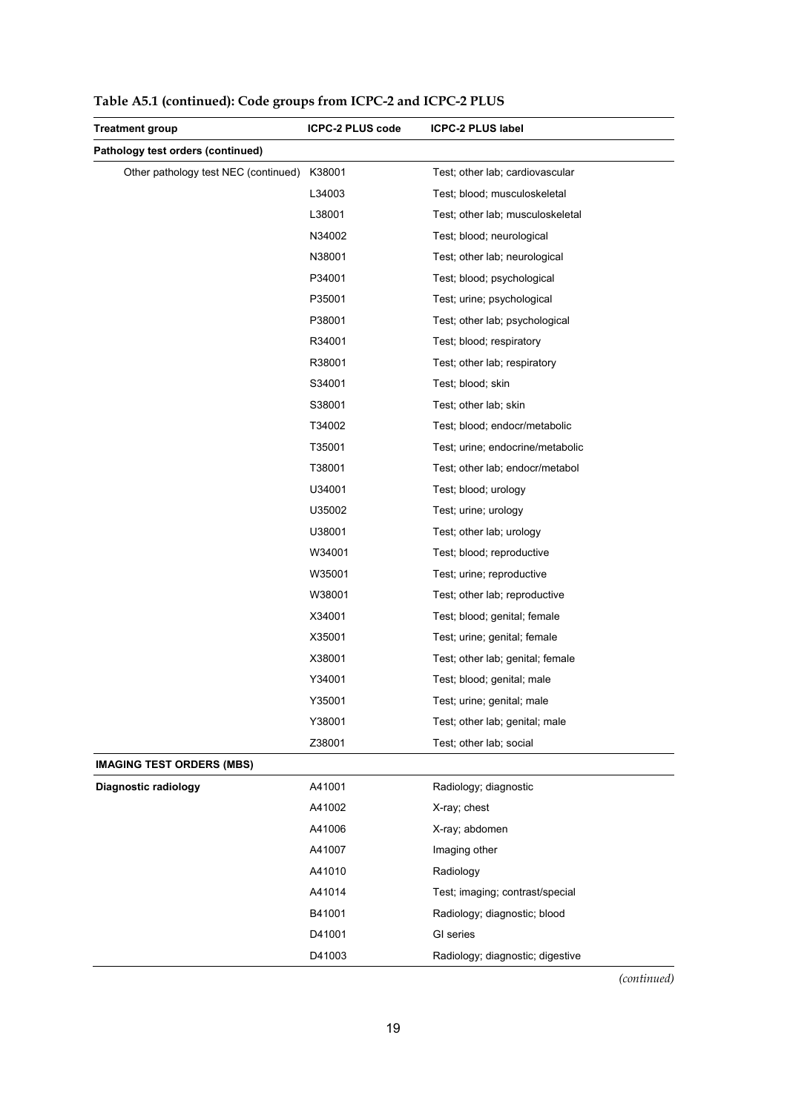| <b>Treatment group</b>               | <b>ICPC-2 PLUS code</b> | <b>ICPC-2 PLUS label</b>         |
|--------------------------------------|-------------------------|----------------------------------|
| Pathology test orders (continued)    |                         |                                  |
| Other pathology test NEC (continued) | K38001                  | Test; other lab; cardiovascular  |
|                                      | L34003                  | Test; blood; musculoskeletal     |
|                                      | L38001                  | Test; other lab; musculoskeletal |
|                                      | N34002                  | Test; blood; neurological        |
|                                      | N38001                  | Test; other lab; neurological    |
|                                      | P34001                  | Test; blood; psychological       |
|                                      | P35001                  | Test; urine; psychological       |
|                                      | P38001                  | Test; other lab; psychological   |
|                                      | R34001                  | Test; blood; respiratory         |
|                                      | R38001                  | Test; other lab; respiratory     |
|                                      | S34001                  | Test; blood; skin                |
|                                      | S38001                  | Test; other lab; skin            |
|                                      | T34002                  | Test; blood; endocr/metabolic    |
|                                      | T35001                  | Test; urine; endocrine/metabolic |
|                                      | T38001                  | Test; other lab; endocr/metabol  |
|                                      | U34001                  | Test; blood; urology             |
|                                      | U35002                  | Test; urine; urology             |
|                                      | U38001                  | Test; other lab; urology         |
|                                      | W34001                  | Test; blood; reproductive        |
|                                      | W35001                  | Test; urine; reproductive        |
|                                      | W38001                  | Test; other lab; reproductive    |
|                                      | X34001                  | Test; blood; genital; female     |
|                                      | X35001                  | Test; urine; genital; female     |
|                                      | X38001                  | Test; other lab; genital; female |
|                                      | Y34001                  | Test; blood; genital; male       |
|                                      | Y35001                  | Test; urine; genital; male       |
|                                      | Y38001                  | Test; other lab; genital; male   |
|                                      | Z38001                  | Test; other lab; social          |
| <b>IMAGING TEST ORDERS (MBS)</b>     |                         |                                  |
| <b>Diagnostic radiology</b>          | A41001                  | Radiology; diagnostic            |
|                                      | A41002                  | X-ray; chest                     |
|                                      | A41006                  | X-ray; abdomen                   |
|                                      | A41007                  | Imaging other                    |
|                                      | A41010                  | Radiology                        |
|                                      | A41014                  | Test; imaging; contrast/special  |
|                                      | B41001                  | Radiology; diagnostic; blood     |
|                                      | D41001                  | GI series                        |
|                                      | D41003                  | Radiology; diagnostic; digestive |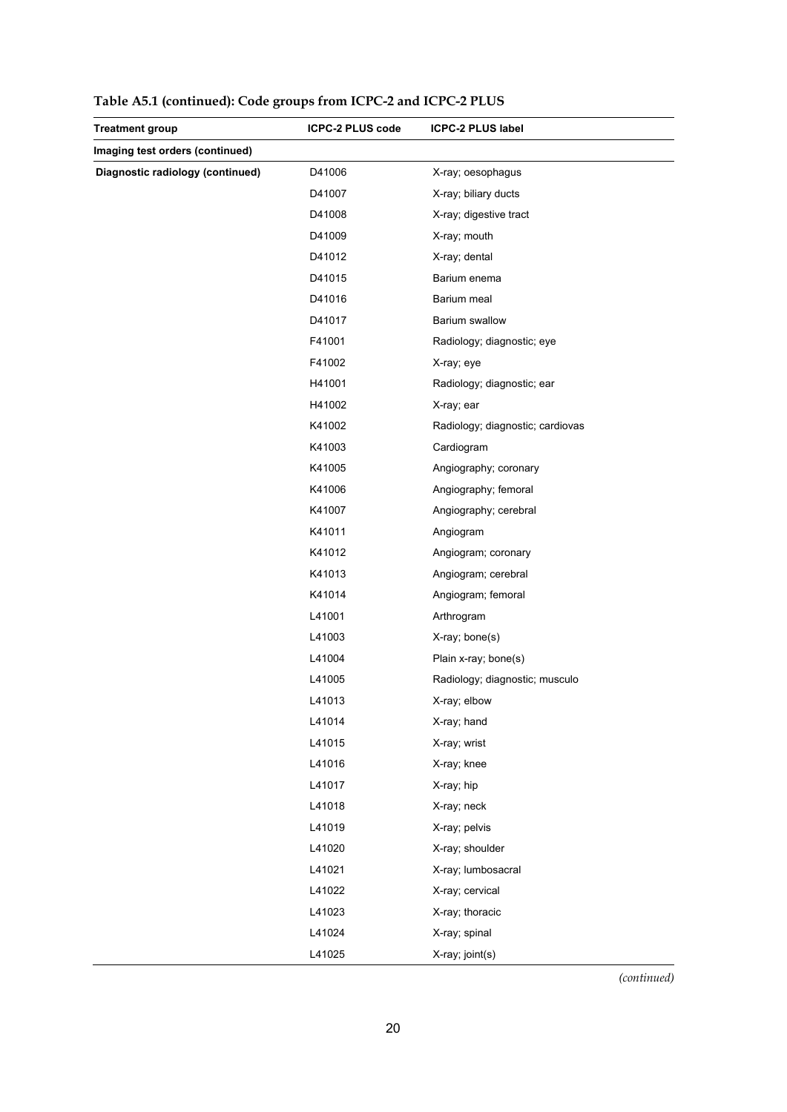| <b>Treatment group</b>           | <b>ICPC-2 PLUS code</b> | <b>ICPC-2 PLUS label</b>         |
|----------------------------------|-------------------------|----------------------------------|
| Imaging test orders (continued)  |                         |                                  |
| Diagnostic radiology (continued) | D41006                  | X-ray; oesophagus                |
|                                  | D41007                  | X-ray; biliary ducts             |
|                                  | D41008                  | X-ray; digestive tract           |
|                                  | D41009                  | X-ray; mouth                     |
|                                  | D41012                  | X-ray; dental                    |
|                                  | D41015                  | Barium enema                     |
|                                  | D41016                  | Barium meal                      |
|                                  | D41017                  | Barium swallow                   |
|                                  | F41001                  | Radiology; diagnostic; eye       |
|                                  | F41002                  | X-ray; eye                       |
|                                  | H41001                  | Radiology; diagnostic; ear       |
|                                  | H41002                  | X-ray; ear                       |
|                                  | K41002                  | Radiology; diagnostic; cardiovas |
|                                  | K41003                  | Cardiogram                       |
|                                  | K41005                  | Angiography; coronary            |
|                                  | K41006                  | Angiography; femoral             |
|                                  | K41007                  | Angiography; cerebral            |
|                                  | K41011                  | Angiogram                        |
|                                  | K41012                  | Angiogram; coronary              |
|                                  | K41013                  | Angiogram; cerebral              |
|                                  | K41014                  | Angiogram; femoral               |
|                                  | L41001                  | Arthrogram                       |
|                                  | L41003                  | X-ray; bone(s)                   |
|                                  | L41004                  | Plain x-ray; bone(s)             |
|                                  | L41005                  | Radiology; diagnostic; musculo   |
|                                  | L41013                  | X-ray; elbow                     |
|                                  | L41014                  | X-ray; hand                      |
|                                  | L41015                  | X-ray; wrist                     |
|                                  | L41016                  | X-ray; knee                      |
|                                  | L41017                  | X-ray; hip                       |
|                                  | L41018                  | X-ray; neck                      |
|                                  | L41019                  | X-ray; pelvis                    |
|                                  | L41020                  | X-ray; shoulder                  |
|                                  | L41021                  | X-ray; lumbosacral               |
|                                  | L41022                  | X-ray; cervical                  |
|                                  | L41023                  | X-ray; thoracic                  |
|                                  | L41024                  | X-ray; spinal                    |
|                                  | L41025                  | X-ray; joint(s)                  |

**Table A5.1 (continued): Code groups from ICPC-2 and ICPC-2 PLUS**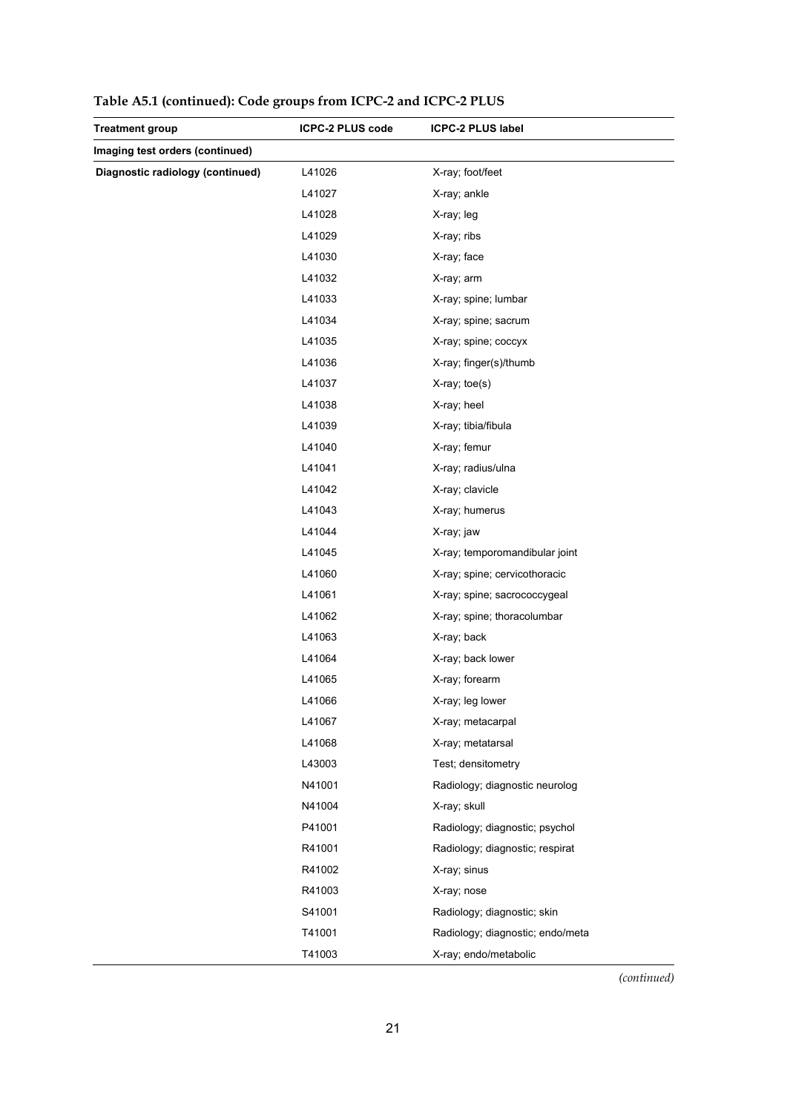| <b>Treatment group</b>           | <b>ICPC-2 PLUS code</b> | <b>ICPC-2 PLUS label</b>         |
|----------------------------------|-------------------------|----------------------------------|
| Imaging test orders (continued)  |                         |                                  |
| Diagnostic radiology (continued) | L41026                  | X-ray; foot/feet                 |
|                                  | L41027                  | X-ray; ankle                     |
|                                  | L41028                  | X-ray; leg                       |
|                                  | L41029                  | X-ray; ribs                      |
|                                  | L41030                  | X-ray; face                      |
|                                  | L41032                  | X-ray; arm                       |
|                                  | L41033                  | X-ray; spine; lumbar             |
|                                  | L41034                  | X-ray; spine; sacrum             |
|                                  | L41035                  | X-ray; spine; coccyx             |
|                                  | L41036                  | X-ray; finger(s)/thumb           |
|                                  | L41037                  | X-ray; toe(s)                    |
|                                  | L41038                  | X-ray; heel                      |
|                                  | L41039                  | X-ray; tibia/fibula              |
|                                  | L41040                  | X-ray; femur                     |
|                                  | L41041                  | X-ray; radius/ulna               |
|                                  | L41042                  | X-ray; clavicle                  |
|                                  | L41043                  | X-ray; humerus                   |
|                                  | L41044                  | X-ray; jaw                       |
|                                  | L41045                  | X-ray; temporomandibular joint   |
|                                  | L41060                  | X-ray; spine; cervicothoracic    |
|                                  | L41061                  | X-ray; spine; sacrococcygeal     |
|                                  | L41062                  | X-ray; spine; thoracolumbar      |
|                                  | L41063                  | X-ray; back                      |
|                                  | L41064                  | X-ray; back lower                |
|                                  | L41065                  | X-ray; forearm                   |
|                                  | L41066                  | X-ray; leg lower                 |
|                                  | L41067                  | X-ray; metacarpal                |
|                                  | L41068                  | X-ray; metatarsal                |
|                                  | L43003                  | Test; densitometry               |
|                                  | N41001                  | Radiology; diagnostic neurolog   |
|                                  | N41004                  | X-ray; skull                     |
|                                  | P41001                  | Radiology; diagnostic; psychol   |
|                                  | R41001                  | Radiology; diagnostic; respirat  |
|                                  | R41002                  | X-ray; sinus                     |
|                                  | R41003                  | X-ray; nose                      |
|                                  | S41001                  | Radiology; diagnostic; skin      |
|                                  | T41001                  | Radiology; diagnostic; endo/meta |
|                                  | T41003                  | X-ray; endo/metabolic            |

**Table A5.1 (continued): Code groups from ICPC-2 and ICPC-2 PLUS**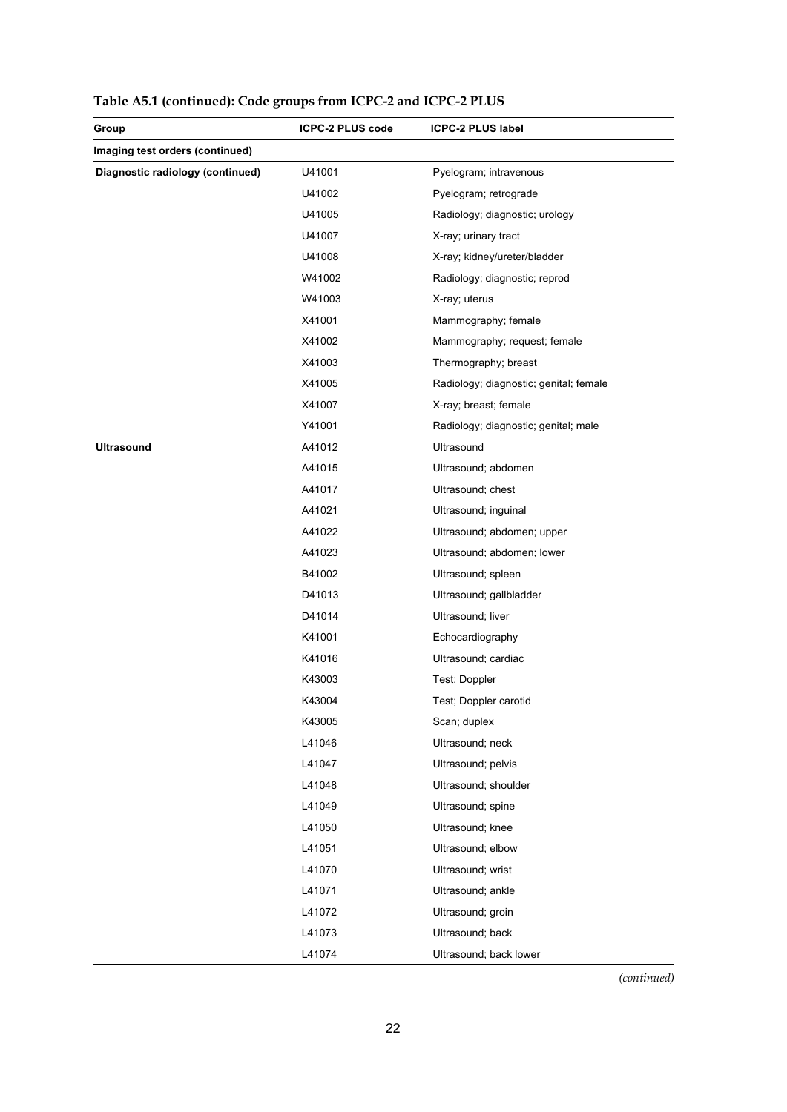| Group                            | <b>ICPC-2 PLUS code</b> | <b>ICPC-2 PLUS label</b>               |
|----------------------------------|-------------------------|----------------------------------------|
| Imaging test orders (continued)  |                         |                                        |
| Diagnostic radiology (continued) | U41001                  | Pyelogram; intravenous                 |
|                                  | U41002                  | Pyelogram; retrograde                  |
|                                  | U41005                  | Radiology; diagnostic; urology         |
|                                  | U41007                  | X-ray; urinary tract                   |
|                                  | U41008                  | X-ray; kidney/ureter/bladder           |
|                                  | W41002                  | Radiology; diagnostic; reprod          |
|                                  | W41003                  | X-ray; uterus                          |
|                                  | X41001                  | Mammography; female                    |
|                                  | X41002                  | Mammography; request; female           |
|                                  | X41003                  | Thermography; breast                   |
|                                  | X41005                  | Radiology; diagnostic; genital; female |
|                                  | X41007                  | X-ray; breast; female                  |
|                                  | Y41001                  | Radiology; diagnostic; genital; male   |
| <b>Ultrasound</b>                | A41012                  | Ultrasound                             |
|                                  | A41015                  | Ultrasound; abdomen                    |
|                                  | A41017                  | Ultrasound; chest                      |
|                                  | A41021                  | Ultrasound; inguinal                   |
|                                  | A41022                  | Ultrasound; abdomen; upper             |
|                                  | A41023                  | Ultrasound; abdomen; lower             |
|                                  | B41002                  | Ultrasound; spleen                     |
|                                  | D41013                  | Ultrasound; gallbladder                |
|                                  | D41014                  | Ultrasound; liver                      |
|                                  | K41001                  | Echocardiography                       |
|                                  | K41016                  | Ultrasound; cardiac                    |
|                                  | K43003                  | Test; Doppler                          |
|                                  | K43004                  | Test; Doppler carotid                  |
|                                  | K43005                  | Scan; duplex                           |
|                                  | L41046                  | Ultrasound; neck                       |
|                                  | L41047                  | Ultrasound; pelvis                     |
|                                  | L41048                  | Ultrasound; shoulder                   |
|                                  | L41049                  | Ultrasound; spine                      |
|                                  | L41050                  | Ultrasound; knee                       |
|                                  | L41051                  | Ultrasound; elbow                      |
|                                  | L41070                  | Ultrasound; wrist                      |
|                                  | L41071                  | Ultrasound; ankle                      |
|                                  | L41072                  | Ultrasound; groin                      |
|                                  | L41073                  | Ultrasound; back                       |
|                                  | L41074                  | Ultrasound; back lower                 |

**Table A5.1 (continued): Code groups from ICPC-2 and ICPC-2 PLUS**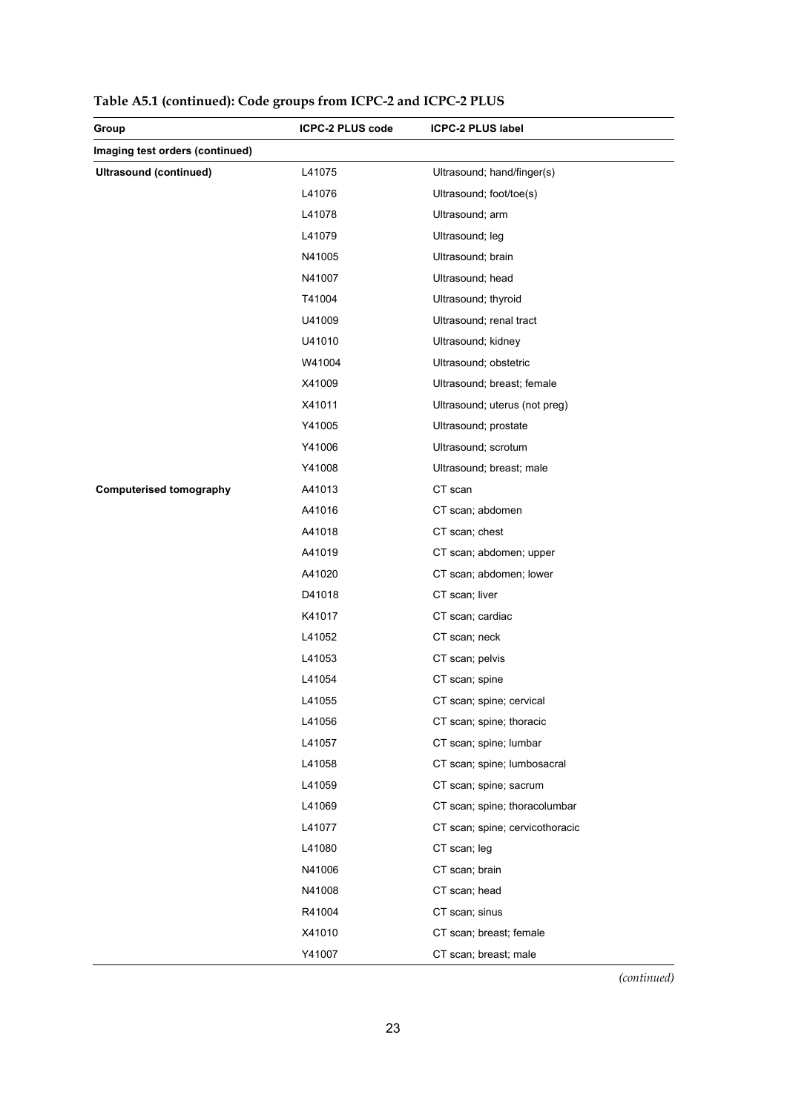| Group                           | ICPC-2 PLUS code | <b>ICPC-2 PLUS label</b>        |
|---------------------------------|------------------|---------------------------------|
| Imaging test orders (continued) |                  |                                 |
| Ultrasound (continued)          | L41075           | Ultrasound; hand/finger(s)      |
|                                 | L41076           | Ultrasound; foot/toe(s)         |
|                                 | L41078           | Ultrasound; arm                 |
|                                 | L41079           | Ultrasound; leg                 |
|                                 | N41005           | Ultrasound; brain               |
|                                 | N41007           | Ultrasound; head                |
|                                 | T41004           | Ultrasound; thyroid             |
|                                 | U41009           | Ultrasound; renal tract         |
|                                 | U41010           | Ultrasound; kidney              |
|                                 | W41004           | Ultrasound; obstetric           |
|                                 | X41009           | Ultrasound; breast; female      |
|                                 | X41011           | Ultrasound; uterus (not preg)   |
|                                 | Y41005           | Ultrasound; prostate            |
|                                 | Y41006           | Ultrasound; scrotum             |
|                                 | Y41008           | Ultrasound; breast; male        |
| <b>Computerised tomography</b>  | A41013           | CT scan                         |
|                                 | A41016           | CT scan; abdomen                |
|                                 | A41018           | CT scan; chest                  |
|                                 | A41019           | CT scan; abdomen; upper         |
|                                 | A41020           | CT scan; abdomen; lower         |
|                                 | D41018           | CT scan; liver                  |
|                                 | K41017           | CT scan; cardiac                |
|                                 | L41052           | CT scan; neck                   |
|                                 | L41053           | CT scan; pelvis                 |
|                                 | L41054           | CT scan; spine                  |
|                                 | L41055           | CT scan; spine; cervical        |
|                                 | L41056           | CT scan; spine; thoracic        |
|                                 | L41057           | CT scan; spine; lumbar          |
|                                 | L41058           | CT scan; spine; lumbosacral     |
|                                 | L41059           | CT scan; spine; sacrum          |
|                                 | L41069           | CT scan; spine; thoracolumbar   |
|                                 | L41077           | CT scan; spine; cervicothoracic |
|                                 | L41080           | CT scan; leg                    |
|                                 | N41006           | CT scan; brain                  |
|                                 | N41008           | CT scan; head                   |
|                                 | R41004           | CT scan; sinus                  |
|                                 | X41010           | CT scan; breast; female         |
|                                 | Y41007           | CT scan; breast; male           |

|  |  | Table A5.1 (continued): Code groups from ICPC-2 and ICPC-2 PLUS |
|--|--|-----------------------------------------------------------------|
|  |  |                                                                 |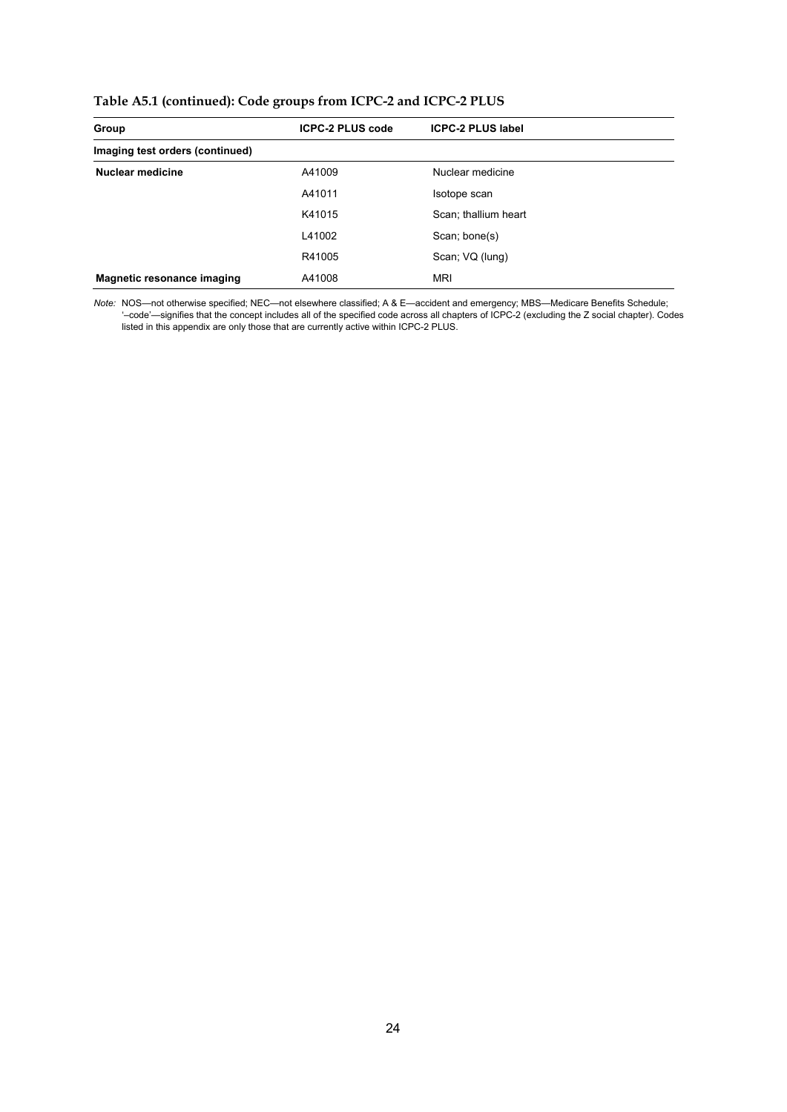| Group                             | <b>ICPC-2 PLUS code</b> | <b>ICPC-2 PLUS label</b> |
|-----------------------------------|-------------------------|--------------------------|
| Imaging test orders (continued)   |                         |                          |
| <b>Nuclear medicine</b>           | A41009                  | Nuclear medicine         |
|                                   | A41011                  | Isotope scan             |
|                                   | K41015                  | Scan; thallium heart     |
|                                   | L41002                  | Scan; bone(s)            |
|                                   | R41005                  | Scan; VQ (lung)          |
| <b>Magnetic resonance imaging</b> | A41008                  | <b>MRI</b>               |

*Note:* NOS—not otherwise specified; NEC—not elsewhere classified; A & E—accident and emergency; MBS—Medicare Benefits Schedule; '–code'—signifies that the concept includes all of the specified code across all chapters of ICPC-2 (excluding the Z social chapter). Codes listed in this appendix are only those that are currently active within ICPC-2 PLUS.